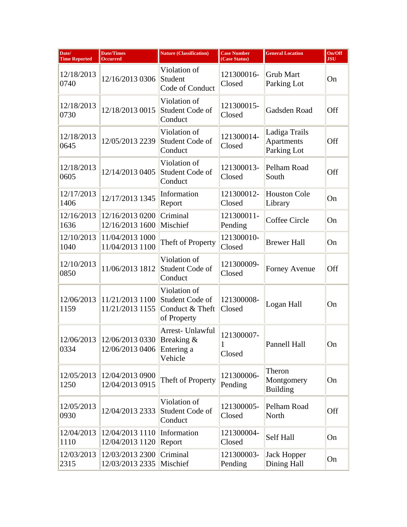| Date/<br><b>Time Reported</b> | <b>Date/Times</b><br><b>Occurred</b> | <b>Nature (Classification)</b>                                    | <b>Case Number</b><br>(Case Status) | <b>General Location</b>                    | On/Off<br><b>JSU</b> |
|-------------------------------|--------------------------------------|-------------------------------------------------------------------|-------------------------------------|--------------------------------------------|----------------------|
| 12/18/2013<br>0740            | 12/16/2013 0306                      | Violation of<br>Student<br>Code of Conduct                        | 121300016-<br>Closed                | <b>Grub Mart</b><br>Parking Lot            | On                   |
| 12/18/2013<br>0730            | 12/18/2013 0015                      | Violation of<br>Student Code of<br>Conduct                        | 121300015-<br>Closed                | Gadsden Road                               | Off                  |
| 12/18/2013<br>0645            | 12/05/2013 2239                      | Violation of<br>Student Code of<br>Conduct                        | 121300014-<br>Closed                | Ladiga Trails<br>Apartments<br>Parking Lot | <b>Off</b>           |
| 12/18/2013<br>0605            | 12/14/2013 0405                      | Violation of<br>Student Code of<br>Conduct                        | 121300013-<br>Closed                | Pelham Road<br>South                       | <b>Off</b>           |
| 12/17/2013<br>1406            | 12/17/2013 1345                      | Information<br>Report                                             | 121300012-<br>Closed                | <b>Houston Cole</b><br>Library             | On                   |
| 12/16/2013<br>1636            | 12/16/2013 0200<br>12/16/2013 1600   | Criminal<br>Mischief                                              | 121300011-<br>Pending               | Coffee Circle                              | On                   |
| 12/10/2013<br>1040            | 11/04/2013 1000<br>11/04/2013 1100   | Theft of Property                                                 | 121300010-<br>Closed                | <b>Brewer Hall</b>                         | On                   |
| 12/10/2013<br>0850            | 11/06/2013 1812                      | Violation of<br>Student Code of<br>Conduct                        | 121300009-<br>Closed                | <b>Forney Avenue</b>                       | Off                  |
| 12/06/2013<br>1159            | 11/21/2013 1100<br>11/21/2013 1155   | Violation of<br>Student Code of<br>Conduct & Theft<br>of Property | 121300008-<br>Closed                | Logan Hall                                 | On                   |
| 12/06/2013<br>0334            | 12/06/2013 0330<br>12/06/2013 0406   | Arrest- Unlawful<br>Breaking &<br>Entering a<br>Vehicle           | 121300007-<br>1<br>Closed           | <b>Pannell Hall</b>                        | On                   |
| 12/05/2013<br>1250            | 12/04/2013 0900<br>12/04/2013 0915   | Theft of Property                                                 | 121300006-<br>Pending               | Theron<br>Montgomery<br><b>Building</b>    | On                   |
| 12/05/2013<br>0930            | 12/04/2013 2333                      | Violation of<br>Student Code of<br>Conduct                        | 121300005-<br>Closed                | Pelham Road<br>North                       | Off                  |
| 12/04/2013<br>1110            | 12/04/2013 1110<br>12/04/2013 1120   | Information<br>Report                                             | 121300004-<br>Closed                | Self Hall                                  | On                   |
| 12/03/2013<br>2315            | 12/03/2013 2300<br>12/03/2013 2335   | Criminal<br>Mischief                                              | 121300003-<br>Pending               | <b>Jack Hopper</b><br>Dining Hall          | On                   |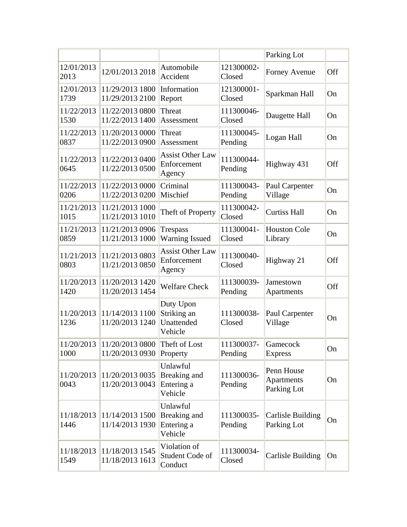|                    |                                               |                                                   |                       | Parking Lot                                    |     |
|--------------------|-----------------------------------------------|---------------------------------------------------|-----------------------|------------------------------------------------|-----|
| 12/01/2013<br>2013 | 12/01/2013 2018                               | Automobile<br>Accident                            | 121300002-<br>Closed  | Forney Avenue                                  | Off |
| 12/01/2013<br>1739 | 11/29/2013 1800<br>11/29/2013 2100            | Information<br>Report                             | 121300001-<br>Closed  | Sparkman Hall                                  | On  |
| 11/22/2013<br>1530 | 11/22/2013 0800<br>11/22/2013 1400            | Threat<br>Assessment                              | 111300046-<br>Closed  | Daugette Hall                                  | On  |
| 11/22/2013<br>0837 | 11/20/2013 0000<br>11/22/2013 0900            | Threat<br>Assessment                              | 111300045-<br>Pending | Logan Hall                                     | On  |
| 11/22/2013<br>0645 | 11/22/2013 0400<br>11/22/2013 0500            | <b>Assist Other Law</b><br>Enforcement<br>Agency  | 111300044-<br>Pending | Highway 431                                    | Off |
| 11/22/2013<br>0206 | 11/22/2013 0000<br>11/22/2013 0200            | Criminal<br>Mischief                              | 111300043-<br>Pending | Paul Carpenter<br>Village                      | On  |
| 11/21/2013<br>1015 | 11/21/2013 1000<br>11/21/2013 1010            | Theft of Property                                 | 111300042-<br>Closed  | <b>Curtiss Hall</b>                            | On  |
| 11/21/2013<br>0859 | 11/21/2013 0906<br>11/21/2013 1000            | <b>Trespass</b><br><b>Warning Issued</b>          | 111300041-<br>Closed  | <b>Houston Cole</b><br>Library                 | On  |
| 11/21/2013<br>0803 | 11/21/2013 0803<br>11/21/2013 0850            | <b>Assist Other Law</b><br>Enforcement<br>Agency  | 111300040-<br>Closed  | Highway 21                                     | Off |
| 11/20/2013<br>1420 | 11/20/2013 1420<br>11/20/2013 1454            | <b>Welfare Check</b>                              | 111300039-<br>Pending | Jamestown<br>Apartments                        | Off |
| 11/20/2013<br>1236 | 11/14/2013 1100<br>11/20/2013 1240            | Duty Upon<br>Striking an<br>Unattended<br>Vehicle | 111300038-<br>Closed  | Paul Carpenter<br>Village                      | On  |
| 1000               | 11/20/2013 11/20/2013 0800<br>11/20/2013 0930 | Theft of Lost<br>Property                         | 111300037-<br>Pending | Gamecock<br><b>Express</b>                     | On  |
| 11/20/2013<br>0043 | 11/20/2013 0035<br>11/20/2013 0043            | Unlawful<br>Breaking and<br>Entering a<br>Vehicle | 111300036-<br>Pending | Penn House<br><b>Apartments</b><br>Parking Lot | On  |
| 11/18/2013<br>1446 | 11/14/2013 1500<br>11/14/2013 1930            | Unlawful<br>Breaking and<br>Entering a<br>Vehicle | 111300035-<br>Pending | <b>Carlisle Building</b><br>Parking Lot        | On  |
| 11/18/2013<br>1549 | 11/18/2013 1545<br>11/18/2013 1613            | Violation of<br>Student Code of<br>Conduct        | 111300034-<br>Closed  | <b>Carlisle Building</b>                       | On  |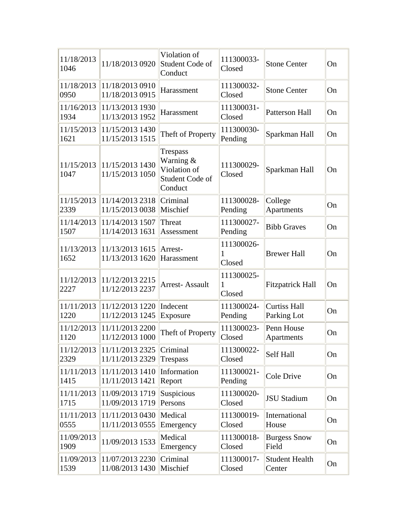| 11/18/2013<br>1046 | 11/18/2013 0920                               | Violation of<br>Student Code of<br>Conduct                          | 111300033-<br>Closed      | <b>Stone Center</b>                | On |
|--------------------|-----------------------------------------------|---------------------------------------------------------------------|---------------------------|------------------------------------|----|
| 11/18/2013<br>0950 | 11/18/2013 0910<br>11/18/2013 0915            | Harassment                                                          | 111300032-<br>Closed      | <b>Stone Center</b>                | On |
| 11/16/2013<br>1934 | 11/13/2013 1930<br>11/13/2013 1952            | Harassment                                                          | 111300031-<br>Closed      | Patterson Hall                     | On |
| 11/15/2013<br>1621 | 11/15/2013 1430<br>11/15/2013 1515            | Theft of Property                                                   | 111300030-<br>Pending     | Sparkman Hall                      | On |
| 11/15/2013<br>1047 | 11/15/2013 1430<br>11/15/2013 1050            | Trespass<br>Warning &<br>Violation of<br>Student Code of<br>Conduct | 111300029-<br>Closed      | Sparkman Hall                      | On |
| 11/15/2013<br>2339 | 11/14/2013 2318<br>11/15/2013 0038            | Criminal<br>Mischief                                                | 111300028-<br>Pending     | College<br>Apartments              | On |
| 11/14/2013<br>1507 | 11/14/2013 1507<br>11/14/2013 1631            | Threat<br>Assessment                                                | 111300027-<br>Pending     | <b>Bibb Graves</b>                 | On |
| 11/13/2013<br>1652 | 11/13/2013 1615<br>11/13/2013 1620            | Arrest-<br>Harassment                                               | 111300026-<br>1<br>Closed | <b>Brewer Hall</b>                 | On |
| 11/12/2013<br>2227 | 11/12/2013 2215<br>11/12/2013 2237            | <b>Arrest-Assault</b>                                               | 111300025-<br>1<br>Closed | <b>Fitzpatrick Hall</b>            | On |
| 11/11/2013<br>1220 | 11/12/2013 1220<br>11/12/2013 1245            | Indecent<br>Exposure                                                | 111300024-<br>Pending     | <b>Curtiss Hall</b><br>Parking Lot | On |
| 11/12/2013<br>1120 | 11/11/2013 2200<br>11/12/2013 1000            | Theft of Property                                                   | 111300023-<br>Closed      | Penn House<br>Apartments           | On |
| 2329               | 11/12/2013 11/11/2013 2325<br>11/11/2013 2329 | Criminal<br><b>Trespass</b>                                         | 111300022-<br>Closed      | Self Hall                          | On |
| 11/11/2013<br>1415 | 11/11/20131410<br>11/11/2013 1421             | Information<br>Report                                               | 111300021-<br>Pending     | Cole Drive                         | On |
| 11/11/2013<br>1715 | 11/09/2013 1719<br>11/09/2013 1719            | Suspicious<br>Persons                                               | 111300020-<br>Closed      | <b>JSU Stadium</b>                 | On |
| 11/11/2013<br>0555 | 11/11/2013 0430<br>11/11/2013 0555            | Medical<br>Emergency                                                | 111300019-<br>Closed      | International<br>House             | On |
| 11/09/2013<br>1909 | 11/09/2013 1533                               | Medical<br>Emergency                                                | 111300018-<br>Closed      | <b>Burgess Snow</b><br>Field       | On |
| 11/09/2013<br>1539 | 11/07/2013 2230<br>11/08/2013 1430            | Criminal<br>Mischief                                                | 111300017-<br>Closed      | <b>Student Health</b><br>Center    | On |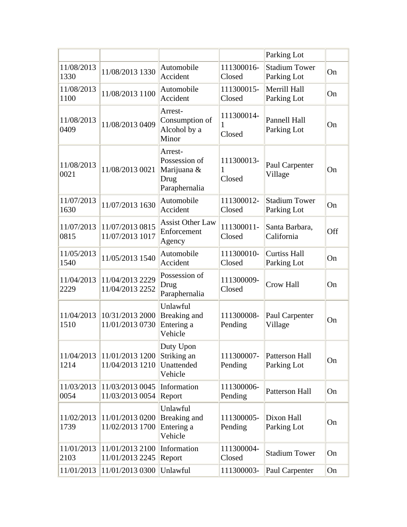|                    |                                    |                                                                  |                           | Parking Lot                         |           |
|--------------------|------------------------------------|------------------------------------------------------------------|---------------------------|-------------------------------------|-----------|
| 11/08/2013<br>1330 | 11/08/2013 1330                    | Automobile<br>Accident                                           | 111300016-<br>Closed      | <b>Stadium Tower</b><br>Parking Lot | <b>On</b> |
| 11/08/2013<br>1100 | 11/08/2013 1100                    | Automobile<br>Accident                                           | 111300015-<br>Closed      | Merrill Hall<br>Parking Lot         | On        |
| 11/08/2013<br>0409 | 11/08/2013 0409                    | Arrest-<br>Consumption of<br>Alcohol by a<br>Minor               | 111300014-<br>1<br>Closed | Pannell Hall<br>Parking Lot         | On        |
| 11/08/2013<br>0021 | 11/08/2013 0021                    | Arrest-<br>Possession of<br>Marijuana &<br>Drug<br>Paraphernalia | 111300013-<br>1<br>Closed | Paul Carpenter<br>Village           | On        |
| 11/07/2013<br>1630 | 11/07/2013 1630                    | Automobile<br>Accident                                           | 111300012-<br>Closed      | <b>Stadium Tower</b><br>Parking Lot | On        |
| 11/07/2013<br>0815 | 11/07/2013 0815<br>11/07/2013 1017 | <b>Assist Other Law</b><br>Enforcement<br>Agency                 | 111300011-<br>Closed      | Santa Barbara,<br>California        | Off       |
| 11/05/2013<br>1540 | 11/05/2013 1540                    | Automobile<br>Accident                                           | 111300010-<br>Closed      | <b>Curtiss Hall</b><br>Parking Lot  | On        |
| 11/04/2013<br>2229 | 11/04/2013 2229<br>11/04/2013 2252 | Possession of<br>Drug<br>Paraphernalia                           | 111300009-<br>Closed      | <b>Crow Hall</b>                    | On        |
| 11/04/2013<br>1510 | 10/31/2013 2000<br>11/01/2013 0730 | Unlawful<br>Breaking and<br>Entering a<br>Vehicle                | 111300008-<br>Pending     | Paul Carpenter<br>Village           | On        |
| 11/04/2013<br>1214 | 11/01/2013 1200<br>11/04/2013 1210 | Duty Upon<br>Striking an<br>Unattended<br>Vehicle                | 111300007-<br>Pending     | Patterson Hall<br>Parking Lot       | On        |
| 11/03/2013<br>0054 | 11/03/2013 0045<br>11/03/2013 0054 | Information<br>Report                                            | 111300006-<br>Pending     | Patterson Hall                      | On        |
| 11/02/2013<br>1739 | 11/01/2013 0200<br>11/02/2013 1700 | Unlawful<br>Breaking and<br>Entering a<br>Vehicle                | 111300005-<br>Pending     | Dixon Hall<br>Parking Lot           | On        |
| 11/01/2013<br>2103 | 11/01/2013 2100<br>11/01/2013 2245 | Information<br>Report                                            | 111300004-<br>Closed      | <b>Stadium Tower</b>                | On        |
| 11/01/2013         | 11/01/2013 0300                    | Unlawful                                                         | 111300003-                | Paul Carpenter                      | On        |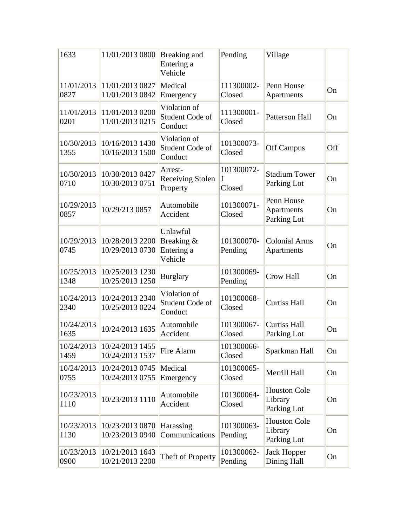| 1633               | 11/01/2013 0800                               | Breaking and<br>Entering a<br>Vehicle           | Pending                   | Village                                        |     |
|--------------------|-----------------------------------------------|-------------------------------------------------|---------------------------|------------------------------------------------|-----|
| 11/01/2013<br>0827 | 11/01/2013 0827<br>11/01/2013 0842            | Medical<br>Emergency                            | 111300002-<br>Closed      | Penn House<br>Apartments                       | On  |
| 11/01/2013<br>0201 | 11/01/2013 0200<br>11/01/2013 0215            | Violation of<br>Student Code of<br>Conduct      | 111300001-<br>Closed      | Patterson Hall                                 | On  |
| 10/30/2013<br>1355 | 10/16/2013 1430<br>10/16/2013 1500            | Violation of<br>Student Code of<br>Conduct      | 101300073-<br>Closed      | <b>Off Campus</b>                              | Off |
| 10/30/2013<br>0710 | 10/30/2013 0427<br>10/30/2013 0751            | Arrest-<br><b>Receiving Stolen</b><br>Property  | 101300072-<br>1<br>Closed | <b>Stadium Tower</b><br>Parking Lot            | On  |
| 10/29/2013<br>0857 | 10/29/213 0857                                | Automobile<br>Accident                          | 101300071-<br>Closed      | Penn House<br><b>Apartments</b><br>Parking Lot | On  |
| 10/29/2013<br>0745 | 10/28/2013 2200<br>10/29/2013 0730            | Unlawful<br>Breaking &<br>Entering a<br>Vehicle | 101300070-<br>Pending     | <b>Colonial Arms</b><br>Apartments             | On  |
| 10/25/2013<br>1348 | 10/25/2013 1230<br>10/25/2013 1250            | <b>Burglary</b>                                 | 101300069-<br>Pending     | <b>Crow Hall</b>                               | On  |
| 10/24/2013<br>2340 | 10/24/2013 2340<br>10/25/2013 0224            | Violation of<br>Student Code of<br>Conduct      | 101300068-<br>Closed      | <b>Curtiss Hall</b>                            | On  |
| 10/24/2013<br>1635 | 10/24/2013 1635                               | Automobile<br>Accident                          | 101300067-<br>Closed      | <b>Curtiss Hall</b><br>Parking Lot             | On  |
| 1459               | 10/24/2013 10/24/2013 1455<br>10/24/2013 1537 | Fire Alarm                                      | 101300066-<br>Closed      | Sparkman Hall                                  | On  |
| 10/24/2013<br>0755 | 10/24/2013 0745<br>10/24/2013 0755            | Medical<br>Emergency                            | 101300065-<br>Closed      | Merrill Hall                                   | On  |
| 10/23/2013<br>1110 | 10/23/2013 1110                               | Automobile<br>Accident                          | 101300064-<br>Closed      | <b>Houston Cole</b><br>Library<br>Parking Lot  | On  |
| 10/23/2013<br>1130 | 10/23/2013 0870<br>10/23/2013 0940            | Harassing<br>Communications                     | 101300063-<br>Pending     | <b>Houston Cole</b><br>Library<br>Parking Lot  | On  |
| 10/23/2013<br>0900 | 10/21/2013 1643<br>10/21/2013 2200            | Theft of Property                               | 101300062-<br>Pending     | <b>Jack Hopper</b><br>Dining Hall              | On  |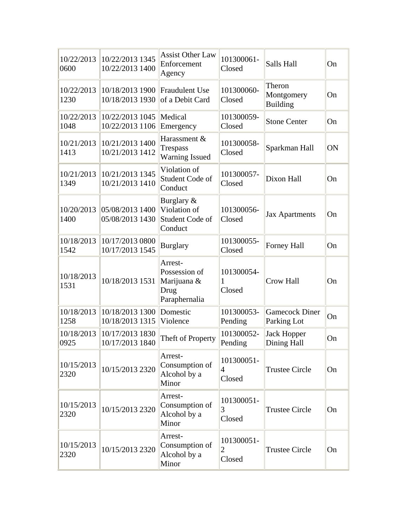| 10/22/2013<br>0600 | 10/22/2013 1345<br>10/22/2013 1400 | <b>Assist Other Law</b><br>Enforcement<br>Agency                 | 101300061-<br>Closed      | Salls Hall                              | On |
|--------------------|------------------------------------|------------------------------------------------------------------|---------------------------|-----------------------------------------|----|
| 10/22/2013<br>1230 | 10/18/2013 1900<br>10/18/2013 1930 | <b>Fraudulent Use</b><br>of a Debit Card                         | 101300060-<br>Closed      | Theron<br>Montgomery<br><b>Building</b> | On |
| 10/22/2013<br>1048 | 10/22/2013 1045<br>10/22/2013 1106 | Medical<br>Emergency                                             | 101300059-<br>Closed      | <b>Stone Center</b>                     | On |
| 10/21/2013<br>1413 | 10/21/2013 1400<br>10/21/2013 1412 | Harassment &<br><b>Trespass</b><br><b>Warning Issued</b>         | 101300058-<br>Closed      | Sparkman Hall                           | ON |
| 10/21/2013<br>1349 | 10/21/2013 1345<br>10/21/2013 1410 | Violation of<br>Student Code of<br>Conduct                       | 101300057-<br>Closed      | Dixon Hall                              | On |
| 10/20/2013<br>1400 | 05/08/2013 1400<br>05/08/2013 1430 | Burglary &<br>Violation of<br>Student Code of<br>Conduct         | 101300056-<br>Closed      | <b>Jax Apartments</b>                   | On |
| 10/18/2013<br>1542 | 10/17/2013 0800<br>10/17/2013 1545 | <b>Burglary</b>                                                  | 101300055-<br>Closed      | Forney Hall                             | On |
| 10/18/2013<br>1531 | 10/18/2013 1531                    | Arrest-<br>Possession of<br>Marijuana &<br>Drug<br>Paraphernalia | 101300054-<br>1<br>Closed | <b>Crow Hall</b>                        | On |
| 10/18/2013<br>1258 | 10/18/2013 1300<br>10/18/2013 1315 | Domestic<br>Violence                                             | 101300053-<br>Pending     | <b>Gamecock Diner</b><br>Parking Lot    | On |
| 10/18/2013<br>0925 | 10/17/2013 1830<br>10/17/2013 1840 | Theft of Property                                                | 101300052-<br>Pending     | <b>Jack Hopper</b><br>Dining Hall       | On |
| 10/15/2013<br>2320 | 10/15/2013 2320                    | Arrest-<br>Consumption of<br>Alcohol by a<br>Minor               | 101300051-<br>4<br>Closed | <b>Trustee Circle</b>                   | On |
| 10/15/2013<br>2320 | 10/15/2013 2320                    | Arrest-<br>Consumption of<br>Alcohol by a<br>Minor               | 101300051-<br>3<br>Closed | <b>Trustee Circle</b>                   | On |
| 10/15/2013<br>2320 | 10/15/2013 2320                    | Arrest-<br>Consumption of<br>Alcohol by a<br>Minor               | 101300051-<br>2<br>Closed | <b>Trustee Circle</b>                   | On |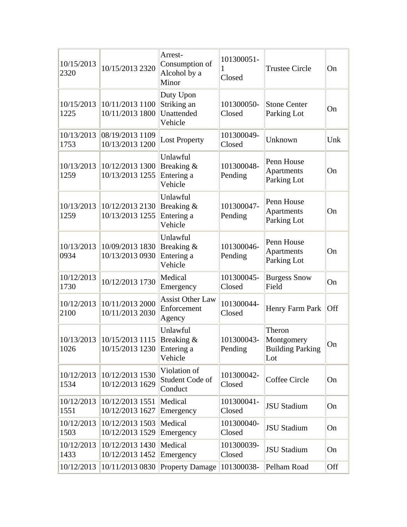| 10/15/2013<br>2320 | 10/15/2013 2320                               | Arrest-<br>Consumption of<br>Alcohol by a<br>Minor | 101300051-<br>Closed  | <b>Trustee Circle</b>                                  | On  |
|--------------------|-----------------------------------------------|----------------------------------------------------|-----------------------|--------------------------------------------------------|-----|
| 10/15/2013<br>1225 | 10/11/2013 1100<br>10/11/2013 1800            | Duty Upon<br>Striking an<br>Unattended<br>Vehicle  | 101300050-<br>Closed  | <b>Stone Center</b><br>Parking Lot                     | On  |
| 10/13/2013<br>1753 | 08/19/2013 1109<br>10/13/2013 1200            | <b>Lost Property</b>                               | 101300049-<br>Closed  | Unknown                                                | Unk |
| 10/13/2013<br>1259 | 10/12/2013 1300<br>10/13/2013 1255            | Unlawful<br>Breaking &<br>Entering a<br>Vehicle    | 101300048-<br>Pending | Penn House<br>Apartments<br>Parking Lot                | On  |
| 10/13/2013<br>1259 | 10/12/2013 2130<br>10/13/2013 1255            | Unlawful<br>Breaking &<br>Entering a<br>Vehicle    | 101300047-<br>Pending | Penn House<br>Apartments<br>Parking Lot                | On  |
| 10/13/2013<br>0934 | 10/09/2013 1830<br>10/13/2013 0930            | Unlawful<br>Breaking &<br>Entering a<br>Vehicle    | 101300046-<br>Pending | Penn House<br>Apartments<br>Parking Lot                | On  |
| 10/12/2013<br>1730 | 10/12/2013 1730                               | Medical<br>Emergency                               | 101300045-<br>Closed  | <b>Burgess Snow</b><br>Field                           | On  |
| 10/12/2013<br>2100 | 10/11/2013 2000<br>10/11/2013 2030            | <b>Assist Other Law</b><br>Enforcement<br>Agency   | 101300044-<br>Closed  | Henry Farm Park                                        | Off |
| 10/13/2013<br>1026 | 10/15/2013 1115<br>10/15/2013 1230 Entering a | Unlawful<br>Breaking &<br>Vehicle                  | 101300043-<br>Pending | Theron<br>Montgomery<br><b>Building Parking</b><br>Lot | On  |
| 10/12/2013<br>1534 | 10/12/2013 1530<br>10/12/2013 1629            | Violation of<br>Student Code of<br>Conduct         | 101300042-<br>Closed  | Coffee Circle                                          | On  |
| 10/12/2013<br>1551 | 10/12/2013 1551<br>10/12/2013 1627            | Medical<br>Emergency                               | 101300041-<br>Closed  | <b>JSU Stadium</b>                                     | On  |
| 10/12/2013<br>1503 | 10/12/2013 1503<br>10/12/2013 1529            | Medical<br>Emergency                               | 101300040-<br>Closed  | <b>JSU Stadium</b>                                     | On  |
| 10/12/2013<br>1433 | 10/12/2013 1430<br>10/12/2013 1452            | Medical<br>Emergency                               | 101300039-<br>Closed  | <b>JSU Stadium</b>                                     | On  |
| 10/12/2013         | 10/11/2013 0830                               | Property Damage                                    | 101300038-            | Pelham Road                                            | Off |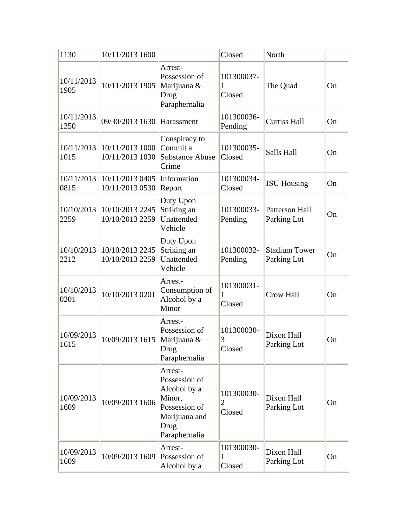| 1130               | 10/11/2013 1600                    |                                                                                                               | Closed                                 | North                               |    |
|--------------------|------------------------------------|---------------------------------------------------------------------------------------------------------------|----------------------------------------|-------------------------------------|----|
| 10/11/2013<br>1905 | 10/11/2013 1905                    | Arrest-<br>Possession of<br>Marijuana &<br>Drug<br>Paraphernalia                                              | 101300037-<br>1<br>Closed              | The Quad                            | On |
| 10/11/2013<br>1350 | 09/30/2013 1630                    | Harassment                                                                                                    | 101300036-<br>Pending                  | <b>Curtiss Hall</b>                 | On |
| 10/11/2013<br>1015 | 10/11/2013 1000<br>10/11/2013 1030 | Conspiracy to<br>Commit a<br><b>Substance Abuse</b><br>Crime                                                  | 101300035-<br>Closed                   | Salls Hall                          | On |
| 10/11/2013<br>0815 | 10/11/2013 0405<br>10/11/2013 0530 | Information<br>Report                                                                                         | 101300034-<br>Closed                   | <b>JSU Housing</b>                  | On |
| 10/10/2013<br>2259 | 10/10/2013 2245<br>10/10/2013 2259 | Duty Upon<br>Striking an<br>Unattended<br>Vehicle                                                             | 101300033-<br>Pending                  | Patterson Hall<br>Parking Lot       | On |
| 10/10/2013<br>2212 | 10/10/2013 2245<br>10/10/2013 2259 | Duty Upon<br>Striking an<br>Unattended<br>Vehicle                                                             | 101300032-<br>Pending                  | <b>Stadium Tower</b><br>Parking Lot | On |
| 10/10/2013<br>0201 | 10/10/2013 0201                    | Arrest-<br>Consumption of<br>Alcohol by a<br>Minor                                                            | 101300031-<br>1<br>Closed              | <b>Crow Hall</b>                    | On |
| 10/09/2013<br>1615 | 10/09/2013 1615                    | Arrest-<br>Possession of<br>Marijuana &<br>Drug<br>Paraphernalia                                              | 101300030-<br>3<br>Closed              | Dixon Hall<br>Parking Lot           | On |
| 10/09/2013<br>1609 | 10/09/2013 1606                    | Arrest-<br>Possession of<br>Alcohol by a<br>Minor,<br>Possession of<br>Marijuana and<br>Drug<br>Paraphernalia | 101300030-<br>$\overline{2}$<br>Closed | Dixon Hall<br>Parking Lot           | On |
| 10/09/2013<br>1609 | 10/09/2013 1609                    | Arrest-<br>Possession of<br>Alcohol by a                                                                      | 101300030-<br>1<br>Closed              | Dixon Hall<br>Parking Lot           | On |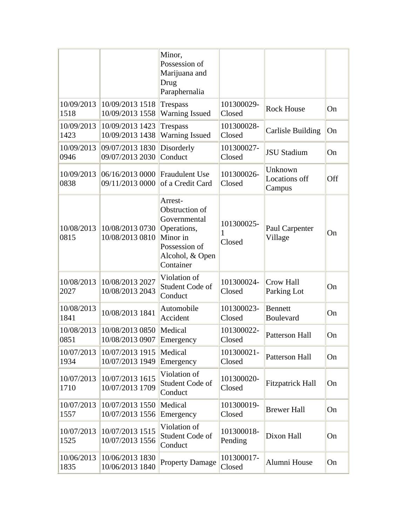|                    |                                                   | Minor,<br>Possession of<br>Marijuana and<br>Drug<br>Paraphernalia                                                     |                           |                                    |           |
|--------------------|---------------------------------------------------|-----------------------------------------------------------------------------------------------------------------------|---------------------------|------------------------------------|-----------|
| 10/09/2013<br>1518 | 10/09/2013 1518<br>10/09/2013 1558                | Trespass<br><b>Warning Issued</b>                                                                                     | 101300029-<br>Closed      | <b>Rock House</b>                  | On        |
| 10/09/2013<br>1423 | 10/09/2013 1423<br>10/09/2013 1438                | <b>Trespass</b><br><b>Warning Issued</b>                                                                              | 101300028-<br>Closed      | <b>Carlisle Building</b>           | <b>On</b> |
| 10/09/2013<br>0946 | 09/07/2013 1830<br>09/07/2013 2030                | Disorderly<br>Conduct                                                                                                 | 101300027-<br>Closed      | <b>JSU Stadium</b>                 | On        |
| 10/09/2013<br>0838 | 06/16/2013 0000 Fraudulent Use<br>09/11/2013 0000 | of a Credit Card                                                                                                      | 101300026-<br>Closed      | Unknown<br>Locations off<br>Campus | Off       |
| 10/08/2013<br>0815 | 10/08/2013 0730<br>10/08/2013 0810                | Arrest-<br>Obstruction of<br>Governmental<br>Operations,<br>Minor in<br>Possession of<br>Alcohol, & Open<br>Container | 101300025-<br>1<br>Closed | Paul Carpenter<br>Village          | On        |
| 10/08/2013<br>2027 | 10/08/2013 2027<br>10/08/2013 2043                | Violation of<br>Student Code of<br>Conduct                                                                            | 101300024-<br>Closed      | <b>Crow Hall</b><br>Parking Lot    | On        |
| 10/08/2013<br>1841 | 10/08/2013 1841                                   | Automobile<br>Accident                                                                                                | 101300023-<br>Closed      | <b>Bennett</b><br><b>Boulevard</b> | On        |
| 10/08/2013<br>0851 | 10/08/2013 0850   Medical<br>10/08/2013 0907      | Emergency                                                                                                             | 101300022-<br>Closed      | Patterson Hall                     | On        |
| 10/07/2013<br>1934 | 10/07/2013 1915<br>10/07/2013 1949                | Medical<br>Emergency                                                                                                  | 101300021-<br>Closed      | Patterson Hall                     | On        |
| 10/07/2013<br>1710 | 10/07/2013 1615<br>10/07/2013 1709                | Violation of<br>Student Code of<br>Conduct                                                                            | 101300020-<br>Closed      | <b>Fitzpatrick Hall</b>            | On        |
| 10/07/2013<br>1557 | 10/07/2013 1550<br>10/07/2013 1556                | Medical<br>Emergency                                                                                                  | 101300019-<br>Closed      | <b>Brewer Hall</b>                 | On        |
| 10/07/2013<br>1525 | 10/07/2013 1515<br>10/07/2013 1556                | Violation of<br>Student Code of<br>Conduct                                                                            | 101300018-<br>Pending     | Dixon Hall                         | On        |
| 10/06/2013<br>1835 | 10/06/2013 1830<br>10/06/2013 1840                | <b>Property Damage</b>                                                                                                | 101300017-<br>Closed      | Alumni House                       | On        |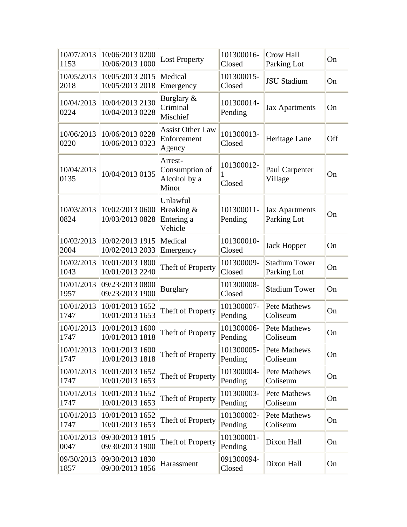| 10/07/2013<br>1153 | 10/06/2013 0200<br>10/06/2013 1000 | <b>Lost Property</b>                               | 101300016-<br>Closed  | <b>Crow Hall</b><br>Parking Lot      | On  |
|--------------------|------------------------------------|----------------------------------------------------|-----------------------|--------------------------------------|-----|
| 10/05/2013<br>2018 | 10/05/2013 2015<br>10/05/2013 2018 | Medical<br>Emergency                               | 101300015-<br>Closed  | <b>JSU Stadium</b>                   | On  |
| 10/04/2013<br>0224 | 10/04/2013 2130<br>10/04/2013 0228 | Burglary &<br>Criminal<br>Mischief                 | 101300014-<br>Pending | <b>Jax Apartments</b>                | On  |
| 10/06/2013<br>0220 | 10/06/2013 0228<br>10/06/2013 0323 | <b>Assist Other Law</b><br>Enforcement<br>Agency   | 101300013-<br>Closed  | Heritage Lane                        | Off |
| 10/04/2013<br>0135 | 10/04/2013 0135                    | Arrest-<br>Consumption of<br>Alcohol by a<br>Minor | 101300012-<br>Closed  | Paul Carpenter<br>Village            | On  |
| 10/03/2013<br>0824 | 10/02/2013 0600<br>10/03/2013 0828 | Unlawful<br>Breaking &<br>Entering a<br>Vehicle    | 101300011-<br>Pending | <b>Jax Apartments</b><br>Parking Lot | On  |
| 10/02/2013<br>2004 | 10/02/2013 1915<br>10/02/2013 2033 | Medical<br>Emergency                               | 101300010-<br>Closed  | <b>Jack Hopper</b>                   | On  |
| 10/02/2013<br>1043 | 10/01/2013 1800<br>10/01/2013 2240 | Theft of Property                                  | 101300009-<br>Closed  | <b>Stadium Tower</b><br>Parking Lot  | On  |
| 10/01/2013<br>1957 | 09/23/2013 0800<br>09/23/2013 1900 | <b>Burglary</b>                                    | 101300008-<br>Closed  | <b>Stadium Tower</b>                 | On  |
| 10/01/2013<br>1747 | 10/01/2013 1652<br>10/01/2013 1653 | Theft of Property                                  | 101300007-<br>Pending | <b>Pete Mathews</b><br>Coliseum      | On  |
| 10/01/2013<br>1747 | 10/01/2013 1600<br>10/01/2013 1818 | Theft of Property                                  | 101300006-<br>Pending | <b>Pete Mathews</b><br>Coliseum      | On  |
| 10/01/2013<br>1747 | 10/01/2013 1600<br>10/01/2013 1818 | Theft of Property                                  | 101300005-<br>Pending | Pete Mathews<br>Coliseum             | On  |
| 10/01/2013<br>1747 | 10/01/2013 1652<br>10/01/2013 1653 | Theft of Property                                  | 101300004-<br>Pending | Pete Mathews<br>Coliseum             | On  |
| 10/01/2013<br>1747 | 10/01/2013 1652<br>10/01/2013 1653 | Theft of Property                                  | 101300003-<br>Pending | Pete Mathews<br>Coliseum             | On  |
| 10/01/2013<br>1747 | 10/01/2013 1652<br>10/01/2013 1653 | Theft of Property                                  | 101300002-<br>Pending | Pete Mathews<br>Coliseum             | On  |
| 10/01/2013<br>0047 | 09/30/2013 1815<br>09/30/2013 1900 | Theft of Property                                  | 101300001-<br>Pending | Dixon Hall                           | On  |
| 09/30/2013<br>1857 | 09/30/2013 1830<br>09/30/2013 1856 | Harassment                                         | 091300094-<br>Closed  | Dixon Hall                           | On  |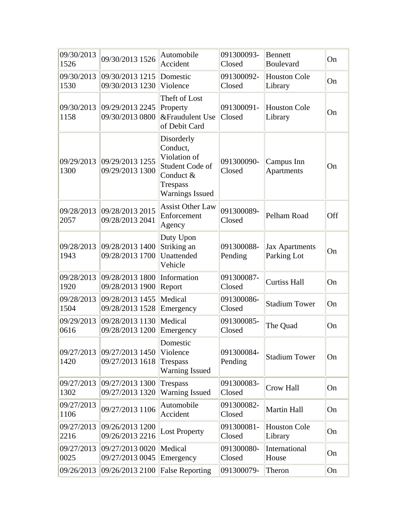| 09/30/2013<br>1526 | 09/30/2013 1526                    | Automobile<br>Accident                                                                                              | 091300093-<br>Closed  | <b>Bennett</b><br><b>Boulevard</b>   | On  |
|--------------------|------------------------------------|---------------------------------------------------------------------------------------------------------------------|-----------------------|--------------------------------------|-----|
| 09/30/2013<br>1530 | 09/30/2013 1215<br>09/30/2013 1230 | Domestic<br>Violence                                                                                                | 091300092-<br>Closed  | <b>Houston Cole</b><br>Library       | On  |
| 09/30/2013<br>1158 | 09/29/2013 2245<br>09/30/2013 0800 | Theft of Lost<br>Property<br>&Fraudulent Use<br>of Debit Card                                                       | 091300091-<br>Closed  | <b>Houston Cole</b><br>Library       | On  |
| 09/29/2013<br>1300 | 09/29/2013 1255<br>09/29/2013 1300 | Disorderly<br>Conduct,<br>Violation of<br>Student Code of<br>Conduct &<br><b>Trespass</b><br><b>Warnings Issued</b> | 091300090-<br>Closed  | Campus Inn<br><b>Apartments</b>      | On  |
| 09/28/2013<br>2057 | 09/28/2013 2015<br>09/28/2013 2041 | <b>Assist Other Law</b><br>Enforcement<br>Agency                                                                    | 091300089-<br>Closed  | Pelham Road                          | Off |
| 09/28/2013<br>1943 | 09/28/2013 1400<br>09/28/2013 1700 | Duty Upon<br>Striking an<br>Unattended<br>Vehicle                                                                   | 091300088-<br>Pending | <b>Jax Apartments</b><br>Parking Lot | On  |
| 09/28/2013<br>1920 | 09/28/2013 1800<br>09/28/2013 1900 | Information<br>Report                                                                                               | 091300087-<br>Closed  | <b>Curtiss Hall</b>                  | On  |
| 09/28/2013<br>1504 | 09/28/2013 1455<br>09/28/2013 1528 | Medical<br>Emergency                                                                                                | 091300086-<br>Closed  | <b>Stadium Tower</b>                 | On  |
| 09/29/2013<br>0616 | 09/28/2013 1130<br>09/28/2013 1200 | Medical<br>Emergency                                                                                                | 091300085-<br>Closed  | The Quad                             | On  |
| 09/27/2013<br>1420 | 09/27/2013 1450<br>09/27/2013 1618 | Domestic<br>Violence<br><b>Trespass</b><br><b>Warning Issued</b>                                                    | 091300084-<br>Pending | <b>Stadium Tower</b>                 | On  |
| 09/27/2013<br>1302 | 09/27/2013 1300<br>09/27/2013 1320 | <b>Trespass</b><br><b>Warning Issued</b>                                                                            | 091300083-<br>Closed  | <b>Crow Hall</b>                     | On  |
| 09/27/2013<br>1106 | 09/27/2013 1106                    | Automobile<br>Accident                                                                                              | 091300082-<br>Closed  | <b>Martin Hall</b>                   | On  |
| 09/27/2013<br>2216 | 09/26/2013 1200<br>09/26/2013 2216 | <b>Lost Property</b>                                                                                                | 091300081-<br>Closed  | <b>Houston Cole</b><br>Library       | On  |
| 09/27/2013<br>0025 | 09/27/2013 0020<br>09/27/2013 0045 | Medical<br>Emergency                                                                                                | 091300080-<br>Closed  | International<br>House               | On  |
| 09/26/2013         | 09/26/2013 2100                    | <b>False Reporting</b>                                                                                              | 091300079-            | Theron                               | On  |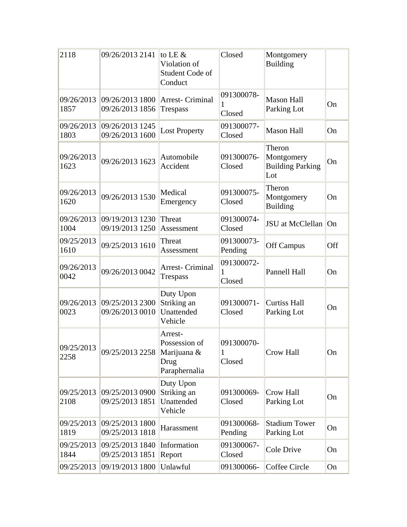| 2118               | 09/26/2013 2141                    | to LE $&$<br>Violation of<br>Student Code of<br>Conduct          | Closed                    | Montgomery<br><b>Building</b>                          |     |
|--------------------|------------------------------------|------------------------------------------------------------------|---------------------------|--------------------------------------------------------|-----|
| 09/26/2013<br>1857 | 09/26/2013 1800<br>09/26/2013 1856 | <b>Arrest- Criminal</b><br><b>Trespass</b>                       | 091300078-<br>Closed      | <b>Mason Hall</b><br>Parking Lot                       | On  |
| 09/26/2013<br>1803 | 09/26/2013 1245<br>09/26/2013 1600 | <b>Lost Property</b>                                             | 091300077-<br>Closed      | <b>Mason Hall</b>                                      | On  |
| 09/26/2013<br>1623 | 09/26/2013 1623                    | Automobile<br>Accident                                           | 091300076-<br>Closed      | Theron<br>Montgomery<br><b>Building Parking</b><br>Lot | On  |
| 09/26/2013<br>1620 | 09/26/2013 1530                    | Medical<br>Emergency                                             | 091300075-<br>Closed      | Theron<br>Montgomery<br><b>Building</b>                | On  |
| 09/26/2013<br>1004 | 09/19/2013 1230<br>09/19/2013 1250 | Threat<br>Assessment                                             | 091300074-<br>Closed      | JSU at McClellan                                       | On  |
| 09/25/2013<br>1610 | 09/25/2013 1610                    | Threat<br>Assessment                                             | 091300073-<br>Pending     | <b>Off Campus</b>                                      | Off |
| 09/26/2013<br>0042 | 09/26/2013 0042                    | <b>Arrest- Criminal</b><br>Trespass                              | 091300072-<br>1<br>Closed | Pannell Hall                                           | On  |
| 09/26/2013<br>0023 | 09/25/2013 2300<br>09/26/2013 0010 | Duty Upon<br>Striking an<br>Unattended<br>Vehicle                | 091300071-<br>Closed      | <b>Curtiss Hall</b><br>Parking Lot                     | On  |
| 09/25/2013<br>2258 | 09/25/2013 2258                    | Arrest-<br>Possession of<br>Marijuana &<br>Drug<br>Paraphernalia | 091300070-<br>1<br>Closed | Crow Hall                                              | On  |
| 09/25/2013<br>2108 | 09/25/2013 0900<br>09/25/2013 1851 | Duty Upon<br>Striking an<br>Unattended<br>Vehicle                | 091300069-<br>Closed      | <b>Crow Hall</b><br>Parking Lot                        | On  |
| 09/25/2013<br>1819 | 09/25/2013 1800<br>09/25/2013 1818 | Harassment                                                       | 091300068-<br>Pending     | <b>Stadium Tower</b><br>Parking Lot                    | On  |
| 09/25/2013<br>1844 | 09/25/20131840<br>09/25/2013 1851  | Information<br>Report                                            | 091300067-<br>Closed      | Cole Drive                                             | On  |
| 09/25/2013         | 09/19/2013 1800                    | Unlawful                                                         | 091300066-                | Coffee Circle                                          | On  |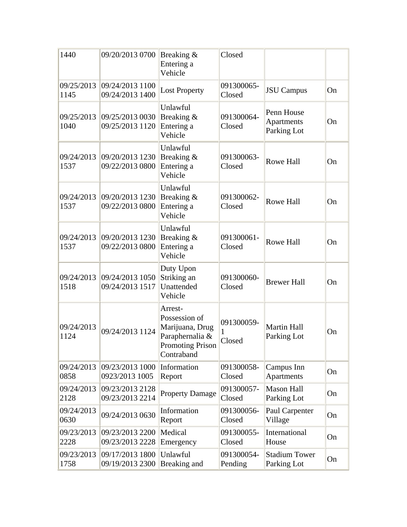| 1440               | 09/20/2013 0700                               | Breaking &<br>Entering a<br>Vehicle                                                                     | Closed                |                                                |    |
|--------------------|-----------------------------------------------|---------------------------------------------------------------------------------------------------------|-----------------------|------------------------------------------------|----|
| 1145               | 09/25/2013 09/24/2013 1100<br>09/24/2013 1400 | <b>Lost Property</b>                                                                                    | 091300065-<br>Closed  | <b>JSU</b> Campus                              | On |
| 1040               | 09/25/2013 09/25/2013 0030<br>09/25/2013 1120 | Unlawful<br>Breaking &<br>Entering a<br>Vehicle                                                         | 091300064-<br>Closed  | Penn House<br><b>Apartments</b><br>Parking Lot | On |
| 09/24/2013<br>1537 | 09/20/20131230<br>09/22/2013 0800             | Unlawful<br>Breaking &<br>Entering a<br>Vehicle                                                         | 091300063-<br>Closed  | <b>Rowe Hall</b>                               | On |
| 1537               | 09/24/2013 09/20/2013 1230<br>09/22/2013 0800 | Unlawful<br>Breaking &<br>Entering a<br>Vehicle                                                         | 091300062-<br>Closed  | <b>Rowe Hall</b>                               | On |
| 09/24/2013<br>1537 | 09/20/2013 1230<br>09/22/2013 0800            | Unlawful<br>Breaking &<br>Entering a<br>Vehicle                                                         | 091300061-<br>Closed  | <b>Rowe Hall</b>                               | On |
| 09/24/2013<br>1518 | 09/24/2013 1050<br>09/24/2013 1517            | Duty Upon<br>Striking an<br>Unattended<br>Vehicle                                                       | 091300060-<br>Closed  | <b>Brewer Hall</b>                             | On |
| 09/24/2013<br>1124 | 09/24/2013 1124                               | Arrest-<br>Possession of<br>Marijuana, Drug<br>Paraphernalia &<br><b>Promoting Prison</b><br>Contraband | 091300059-<br>Closed  | <b>Martin Hall</b><br>Parking Lot              | On |
| 09/24/2013<br>0858 | 09/23/2013 1000<br>0923/2013 1005             | Information<br>Report                                                                                   | 091300058-<br>Closed  | Campus Inn<br>Apartments                       | On |
| 09/24/2013<br>2128 | 09/23/2013 2128<br>09/23/2013 2214            | <b>Property Damage</b>                                                                                  | 091300057-<br>Closed  | <b>Mason Hall</b><br>Parking Lot               | On |
| 09/24/2013<br>0630 | 09/24/2013 0630                               | Information<br>Report                                                                                   | 091300056-<br>Closed  | Paul Carpenter<br>Village                      | On |
| 09/23/2013<br>2228 | 09/23/2013 2200<br>09/23/2013 2228            | Medical<br>Emergency                                                                                    | 091300055-<br>Closed  | International<br>House                         | On |
| 09/23/2013<br>1758 | 09/17/2013 1800<br>09/19/2013 2300            | Unlawful<br>Breaking and                                                                                | 091300054-<br>Pending | <b>Stadium Tower</b><br>Parking Lot            | On |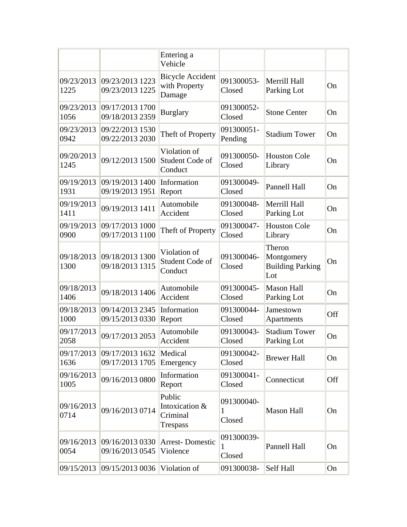|                    |                                    | Entering a<br>Vehicle                              |                           |                                                        |           |
|--------------------|------------------------------------|----------------------------------------------------|---------------------------|--------------------------------------------------------|-----------|
| 09/23/2013<br>1225 | 09/23/2013 1223<br>09/23/2013 1225 | <b>Bicycle Accident</b><br>with Property<br>Damage | 091300053-<br>Closed      | Merrill Hall<br>Parking Lot                            | On        |
| 09/23/2013<br>1056 | 09/17/2013 1700<br>09/18/2013 2359 | <b>Burglary</b>                                    | 091300052-<br>Closed      | <b>Stone Center</b>                                    | On        |
| 09/23/2013<br>0942 | 09/22/2013 1530<br>09/22/2013 2030 | Theft of Property                                  | 091300051-<br>Pending     | <b>Stadium Tower</b>                                   | On        |
| 09/20/2013<br>1245 | 09/12/2013 1500                    | Violation of<br>Student Code of<br>Conduct         | 091300050-<br>Closed      | <b>Houston Cole</b><br>Library                         | On        |
| 09/19/2013<br>1931 | 09/19/2013 1400<br>09/19/2013 1951 | Information<br>Report                              | 091300049-<br>Closed      | Pannell Hall                                           | On        |
| 09/19/2013<br>1411 | 09/19/2013 1411                    | Automobile<br>Accident                             | 091300048-<br>Closed      | Merrill Hall<br>Parking Lot                            | On        |
| 09/19/2013<br>0900 | 09/17/2013 1000<br>09/17/2013 1100 | Theft of Property                                  | 091300047-<br>Closed      | <b>Houston Cole</b><br>Library                         | On        |
| 09/18/2013<br>1300 | 09/18/2013 1300<br>09/18/2013 1315 | Violation of<br>Student Code of<br>Conduct         | 091300046-<br>Closed      | Theron<br>Montgomery<br><b>Building Parking</b><br>Lot | On        |
| 09/18/2013<br>1406 | 09/18/2013 1406                    | Automobile<br>Accident                             | 091300045-<br>Closed      | <b>Mason Hall</b><br>Parking Lot                       | On        |
| 09/18/2013<br>1000 | 09/14/2013 2345<br>09/15/2013 0330 | Information<br>Report                              | 091300044-<br>Closed      | Jamestown<br>Apartments                                | Off       |
| 09/17/2013<br>2058 | 09/17/2013 2053                    | Automobile<br>Accident                             | 091300043-<br>Closed      | <b>Stadium Tower</b><br>Parking Lot                    | On        |
| 09/17/2013<br>1636 | 09/17/2013 1632<br>09/17/2013 1705 | Medical<br>Emergency                               | 091300042-<br>Closed      | <b>Brewer Hall</b>                                     | On        |
| 09/16/2013<br>1005 | 09/16/2013 0800                    | Information<br>Report                              | 091300041-<br>Closed      | Connecticut                                            | Off       |
| 09/16/2013<br>0714 | 09/16/2013 0714                    | Public<br>Intoxication &<br>Criminal<br>Trespass   | 091300040-<br>1<br>Closed | <b>Mason Hall</b>                                      | <b>On</b> |
| 09/16/2013<br>0054 | 09/16/2013 0330<br>09/16/2013 0545 | <b>Arrest-Domestic</b><br>Violence                 | 091300039-<br>1<br>Closed | Pannell Hall                                           | On        |
| 09/15/2013         | 09/15/2013 0036                    | Violation of                                       | 091300038-                | Self Hall                                              | On        |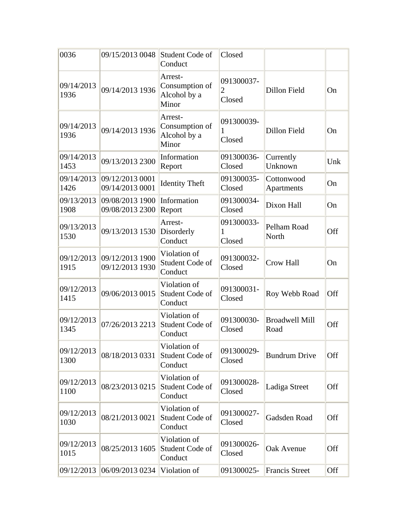| 0036               | 09/15/2013 0048                    | Student Code of<br>Conduct                         | Closed                                 |                               |     |
|--------------------|------------------------------------|----------------------------------------------------|----------------------------------------|-------------------------------|-----|
| 09/14/2013<br>1936 | 09/14/2013 1936                    | Arrest-<br>Consumption of<br>Alcohol by a<br>Minor | 091300037-<br>$\overline{2}$<br>Closed | Dillon Field                  | On  |
| 09/14/2013<br>1936 | 09/14/2013 1936                    | Arrest-<br>Consumption of<br>Alcohol by a<br>Minor | 091300039-<br>1<br>Closed              | Dillon Field                  | On  |
| 09/14/2013<br>1453 | 09/13/2013 2300                    | Information<br>Report                              | 091300036-<br>Closed                   | Currently<br>Unknown          | Unk |
| 09/14/2013<br>1426 | 09/12/20130001<br>09/14/2013 0001  | <b>Identity Theft</b>                              | 091300035-<br>Closed                   | Cottonwood<br>Apartments      | On  |
| 09/13/2013<br>1908 | 09/08/2013 1900<br>09/08/2013 2300 | Information<br>Report                              | 091300034-<br>Closed                   | Dixon Hall                    | On  |
| 09/13/2013<br>1530 | 09/13/2013 1530                    | Arrest-<br>Disorderly<br>Conduct                   | 091300033-<br>1<br>Closed              | Pelham Road<br>North          | Off |
| 09/12/2013<br>1915 | 09/12/2013 1900<br>09/12/2013 1930 | Violation of<br>Student Code of<br>Conduct         | 091300032-<br>Closed                   | <b>Crow Hall</b>              | On  |
| 09/12/2013<br>1415 | 09/06/2013 0015                    | Violation of<br>Student Code of<br>Conduct         | 091300031-<br>Closed                   | Roy Webb Road                 | Off |
| 09/12/2013<br>1345 | 07/26/2013 2213                    | Violation of<br>Student Code of<br>Conduct         | 091300030-<br>Closed                   | <b>Broadwell Mill</b><br>Road | Off |
| 09/12/2013<br>1300 | 08/18/2013 0331                    | Violation of<br>Student Code of<br>Conduct         | 091300029-<br>Closed                   | <b>Bundrum Drive</b>          | Off |
| 09/12/2013<br>1100 | 08/23/2013 0215                    | Violation of<br>Student Code of<br>Conduct         | 091300028-<br>Closed                   | Ladiga Street                 | Off |
| 09/12/2013<br>1030 | 08/21/2013 0021                    | Violation of<br>Student Code of<br>Conduct         | 091300027-<br>Closed                   | Gadsden Road                  | Off |
| 09/12/2013<br>1015 | 08/25/2013 1605                    | Violation of<br>Student Code of<br>Conduct         | 091300026-<br>Closed                   | Oak Avenue                    | Off |
| 09/12/2013         | 06/09/2013 0234                    | Violation of                                       | 091300025-                             | <b>Francis Street</b>         | Off |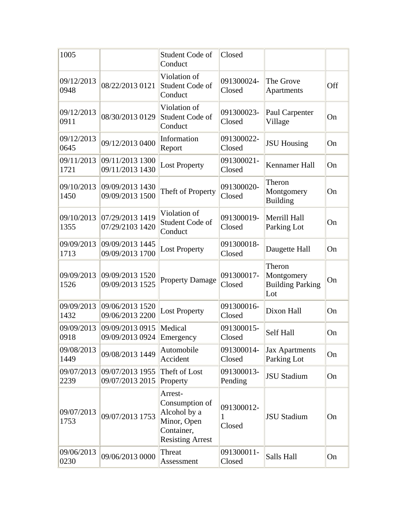| 1005               |                                    | Student Code of<br>Conduct                                                                        | Closed                    |                                                        |     |
|--------------------|------------------------------------|---------------------------------------------------------------------------------------------------|---------------------------|--------------------------------------------------------|-----|
| 09/12/2013<br>0948 | 08/22/2013 0121                    | Violation of<br>Student Code of<br>Conduct                                                        | 091300024-<br>Closed      | The Grove<br>Apartments                                | Off |
| 09/12/2013<br>0911 | 08/30/2013 0129                    | Violation of<br>Student Code of<br>Conduct                                                        | 091300023-<br>Closed      | Paul Carpenter<br>Village                              | On  |
| 09/12/2013<br>0645 | 09/12/2013 0400                    | Information<br>Report                                                                             | 091300022-<br>Closed      | <b>JSU Housing</b>                                     | On  |
| 09/11/2013<br>1721 | 09/11/2013 1300<br>09/11/2013 1430 | <b>Lost Property</b>                                                                              | 091300021-<br>Closed      | Kennamer Hall                                          | On  |
| 09/10/2013<br>1450 | 09/09/2013 1430<br>09/09/2013 1500 | Theft of Property                                                                                 | 091300020-<br>Closed      | Theron<br>Montgomery<br><b>Building</b>                | On  |
| 09/10/2013<br>1355 | 07/29/2013 1419<br>07/29/2103 1420 | Violation of<br>Student Code of<br>Conduct                                                        | 091300019-<br>Closed      | Merrill Hall<br>Parking Lot                            | On  |
| 09/09/2013<br>1713 | 09/09/2013 1445<br>09/09/2013 1700 | <b>Lost Property</b>                                                                              | 091300018-<br>Closed      | Daugette Hall                                          | On  |
| 09/09/2013<br>1526 | 09/09/2013 1520<br>09/09/2013 1525 | <b>Property Damage</b>                                                                            | 091300017-<br>Closed      | Theron<br>Montgomery<br><b>Building Parking</b><br>Lot | On  |
| 09/09/2013<br>1432 | 09/06/2013 1520<br>09/06/2013 2200 | <b>Lost Property</b>                                                                              | 091300016-<br>Closed      | Dixon Hall                                             | On  |
| 09/09/2013<br>0918 | 09/09/2013 0915<br>09/09/2013 0924 | Medical<br>Emergency                                                                              | 091300015-<br>Closed      | Self Hall                                              | On  |
| 09/08/2013<br>1449 | 09/08/2013 1449                    | Automobile<br>Accident                                                                            | 091300014-<br>Closed      | Jax Apartments<br>Parking Lot                          | On  |
| 09/07/2013<br>2239 | 09/07/2013 1955<br>09/07/2013 2015 | Theft of Lost<br>Property                                                                         | 091300013-<br>Pending     | <b>JSU Stadium</b>                                     | On  |
| 09/07/2013<br>1753 | 09/07/2013 1753                    | Arrest-<br>Consumption of<br>Alcohol by a<br>Minor, Open<br>Container,<br><b>Resisting Arrest</b> | 091300012-<br>1<br>Closed | <b>JSU Stadium</b>                                     | On  |
| 09/06/2013<br>0230 | 09/06/2013 0000                    | Threat<br>Assessment                                                                              | 091300011-<br>Closed      | Salls Hall                                             | On  |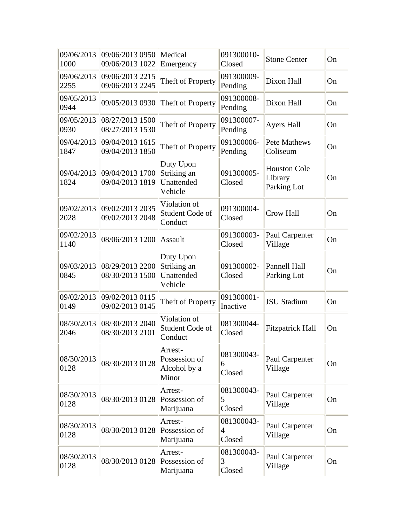| 09/06/2013<br>1000 | 09/06/2013 0950<br>09/06/2013 1022 | Medical<br>Emergency                              | 091300010-<br>Closed                   | <b>Stone Center</b>                           | On |
|--------------------|------------------------------------|---------------------------------------------------|----------------------------------------|-----------------------------------------------|----|
| 09/06/2013<br>2255 | 09/06/2013 2215<br>09/06/2013 2245 | Theft of Property                                 | 091300009-<br>Pending                  | Dixon Hall                                    | On |
| 09/05/2013<br>0944 | 09/05/2013 0930                    | Theft of Property                                 | 091300008-<br>Pending                  | Dixon Hall                                    | On |
| 09/05/2013<br>0930 | 08/27/2013 1500<br>08/27/2013 1530 | Theft of Property                                 | 091300007-<br>Pending                  | Ayers Hall                                    | On |
| 09/04/2013<br>1847 | 09/04/2013 1615<br>09/04/2013 1850 | Theft of Property                                 | 091300006-<br>Pending                  | <b>Pete Mathews</b><br>Coliseum               | On |
| 09/04/2013<br>1824 | 09/04/2013 1700<br>09/04/2013 1819 | Duty Upon<br>Striking an<br>Unattended<br>Vehicle | 091300005-<br>Closed                   | <b>Houston Cole</b><br>Library<br>Parking Lot | On |
| 09/02/2013<br>2028 | 09/02/2013 2035<br>09/02/2013 2048 | Violation of<br>Student Code of<br>Conduct        | 091300004-<br>Closed                   | <b>Crow Hall</b>                              | On |
| 09/02/2013<br>1140 | 08/06/2013 1200                    | Assault                                           | 091300003-<br>Closed                   | Paul Carpenter<br>Village                     | On |
| 09/03/2013<br>0845 | 08/29/2013 2200<br>08/30/2013 1500 | Duty Upon<br>Striking an<br>Unattended<br>Vehicle | 091300002-<br>Closed                   | Pannell Hall<br>Parking Lot                   | On |
| 09/02/2013<br>0149 | 09/02/2013 0115<br>09/02/2013 0145 | Theft of Property                                 | 091300001-<br>Inactive                 | <b>JSU Stadium</b>                            | On |
| 08/30/2013<br>2046 | 08/30/2013 2040<br>08/30/2013 2101 | Violation of<br>Student Code of<br>Conduct        | 081300044-<br>Closed                   | <b>Fitzpatrick Hall</b>                       | On |
| 08/30/2013<br>0128 | 08/30/2013 0128                    | Arrest-<br>Possession of<br>Alcohol by a<br>Minor | 081300043-<br>6<br>Closed              | Paul Carpenter<br>Village                     | On |
| 08/30/2013<br>0128 | 08/30/2013 0128                    | Arrest-<br>Possession of<br>Marijuana             | 081300043-<br>5<br>Closed              | Paul Carpenter<br>Village                     | On |
| 08/30/2013<br>0128 | 08/30/2013 0128                    | Arrest-<br>Possession of<br>Marijuana             | 081300043-<br>$\overline{4}$<br>Closed | Paul Carpenter<br>Village                     | On |
| 08/30/2013<br>0128 | 08/30/2013 0128                    | Arrest-<br>Possession of<br>Marijuana             | 081300043-<br>3<br>Closed              | Paul Carpenter<br>Village                     | On |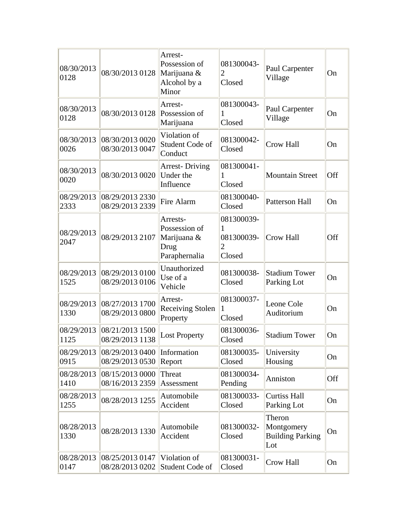| 08/30/2013<br>0128 | 08/30/2013 0128                    | Arrest-<br>Possession of<br>Marijuana &<br>Alcohol by a<br>Minor  | 081300043-<br>2<br>Closed                            | Paul Carpenter<br>Village                              | On  |
|--------------------|------------------------------------|-------------------------------------------------------------------|------------------------------------------------------|--------------------------------------------------------|-----|
| 08/30/2013<br>0128 | 08/30/2013 0128                    | Arrest-<br>Possession of<br>Marijuana                             | 081300043-<br>1<br>Closed                            | Paul Carpenter<br>Village                              | On  |
| 08/30/2013<br>0026 | 08/30/2013 0020<br>08/30/2013 0047 | Violation of<br>Student Code of<br>Conduct                        | 081300042-<br>Closed                                 | Crow Hall                                              | On  |
| 08/30/2013<br>0020 | 08/30/2013 0020                    | <b>Arrest-Driving</b><br>Under the<br>Influence                   | 081300041-<br>1<br>Closed                            | <b>Mountain Street</b>                                 | Off |
| 08/29/2013<br>2333 | 08/29/2013 2330<br>08/29/2013 2339 | Fire Alarm                                                        | 081300040-<br>Closed                                 | <b>Patterson Hall</b>                                  | On  |
| 08/29/2013<br>2047 | 08/29/2013 2107                    | Arrests-<br>Possession of<br>Marijuana &<br>Drug<br>Paraphernalia | 081300039-<br>081300039-<br>$\overline{2}$<br>Closed | Crow Hall                                              | Off |
| 08/29/2013<br>1525 | 08/29/2013 0100<br>08/29/2013 0106 | Unauthorized<br>Use of a<br>Vehicle                               | 081300038-<br>Closed                                 | <b>Stadium Tower</b><br>Parking Lot                    | On  |
| 08/29/2013<br>1330 | 08/27/2013 1700<br>08/29/2013 0800 | Arrest-<br><b>Receiving Stolen</b><br>Property                    | 081300037-<br>1<br>Closed                            | Leone Cole<br>Auditorium                               | On  |
| 08/29/2013<br>1125 | 08/21/2013 1500<br>08/29/2013 1138 | <b>Lost Property</b>                                              | 081300036-<br>Closed                                 | <b>Stadium Tower</b>                                   | On  |
| 08/29/2013<br>0915 | 08/29/2013 0400<br>08/29/2013 0530 | Information<br>Report                                             | 081300035-<br>Closed                                 | University<br>Housing                                  | On  |
| 08/28/2013<br>1410 | 08/15/2013 0000<br>08/16/2013 2359 | Threat<br>Assessment                                              | 081300034-<br>Pending                                | Anniston                                               | Off |
| 08/28/2013<br>1255 | 08/28/2013 1255                    | Automobile<br>Accident                                            | 081300033-<br>Closed                                 | <b>Curtiss Hall</b><br>Parking Lot                     | On  |
| 08/28/2013<br>1330 | 08/28/2013 1330                    | Automobile<br>Accident                                            | 081300032-<br>Closed                                 | Theron<br>Montgomery<br><b>Building Parking</b><br>Lot | On  |
| 08/28/2013<br>0147 | 08/25/2013 0147<br>08/28/2013 0202 | Violation of<br>Student Code of                                   | 081300031-<br>Closed                                 | Crow Hall                                              | On  |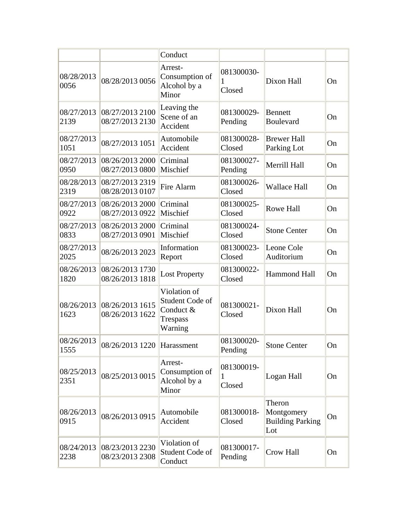|                    |                                    | Conduct                                                             |                           |                                                        |    |
|--------------------|------------------------------------|---------------------------------------------------------------------|---------------------------|--------------------------------------------------------|----|
| 08/28/2013<br>0056 | 08/28/2013 0056                    | Arrest-<br>Consumption of<br>Alcohol by a<br>Minor                  | 081300030-<br>1<br>Closed | Dixon Hall                                             | On |
| 08/27/2013<br>2139 | 08/27/2013 2100<br>08/27/2013 2130 | Leaving the<br>Scene of an<br>Accident                              | 081300029-<br>Pending     | <b>Bennett</b><br>Boulevard                            | On |
| 08/27/2013<br>1051 | 08/27/2013 1051                    | Automobile<br>Accident                                              | 081300028-<br>Closed      | <b>Brewer Hall</b><br>Parking Lot                      | On |
| 08/27/2013<br>0950 | 08/26/2013 2000<br>08/27/2013 0800 | Criminal<br>Mischief                                                | 081300027-<br>Pending     | Merrill Hall                                           | On |
| 08/28/2013<br>2319 | 08/27/2013 2319<br>08/28/2013 0107 | Fire Alarm                                                          | 081300026-<br>Closed      | <b>Wallace Hall</b>                                    | On |
| 08/27/2013<br>0922 | 08/26/2013 2000<br>08/27/2013 0922 | Criminal<br>Mischief                                                | 081300025-<br>Closed      | Rowe Hall                                              | On |
| 08/27/2013<br>0833 | 08/26/2013 2000<br>08/27/2013 0901 | Criminal<br>Mischief                                                | 081300024-<br>Closed      | <b>Stone Center</b>                                    | On |
| 08/27/2013<br>2025 | 08/26/2013 2023                    | Information<br>Report                                               | 081300023-<br>Closed      | Leone Cole<br>Auditorium                               | On |
| 08/26/2013<br>1820 | 08/26/2013 1730<br>08/26/2013 1818 | <b>Lost Property</b>                                                | 081300022-<br>Closed      | Hammond Hall                                           | On |
| 08/26/2013<br>1623 | 08/26/2013 1615<br>08/26/2013 1622 | Violation of<br>Student Code of<br>Conduct &<br>Trespass<br>Warning | 081300021-<br>Closed      | Dixon Hall                                             | On |
| 08/26/2013<br>1555 | 08/26/2013 1220 Harassment         |                                                                     | 081300020-<br>Pending     | <b>Stone Center</b>                                    | On |
| 08/25/2013<br>2351 | 08/25/2013 0015                    | Arrest-<br>Consumption of<br>Alcohol by a<br>Minor                  | 081300019-<br>1<br>Closed | Logan Hall                                             | On |
| 08/26/2013<br>0915 | 08/26/2013 0915                    | Automobile<br>Accident                                              | 081300018-<br>Closed      | Theron<br>Montgomery<br><b>Building Parking</b><br>Lot | On |
| 08/24/2013<br>2238 | 08/23/2013 2230<br>08/23/2013 2308 | Violation of<br>Student Code of<br>Conduct                          | 081300017-<br>Pending     | Crow Hall                                              | On |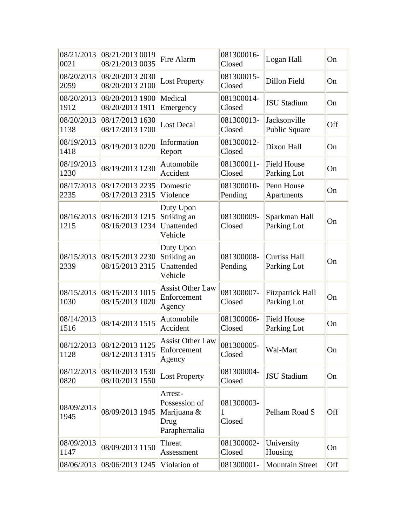| 08/21/2013<br>0021 | 08/21/2013 0019<br>08/21/2013 0035            | Fire Alarm                                                       | 081300016-<br>Closed      | Logan Hall                             | On  |
|--------------------|-----------------------------------------------|------------------------------------------------------------------|---------------------------|----------------------------------------|-----|
| 08/20/2013<br>2059 | 08/20/2013 2030<br>08/20/2013 2100            | <b>Lost Property</b>                                             | 081300015-<br>Closed      | Dillon Field                           | On  |
| 08/20/2013<br>1912 | 08/20/2013 1900<br>08/20/2013 1911            | Medical<br>Emergency                                             | 081300014-<br>Closed      | <b>JSU Stadium</b>                     | On  |
| 08/20/2013<br>1138 | 08/17/2013 1630<br>08/17/2013 1700            | <b>Lost Decal</b>                                                | 081300013-<br>Closed      | Jacksonville<br>Public Square          | Off |
| 08/19/2013<br>1418 | 08/19/2013 0220                               | Information<br>Report                                            | 081300012-<br>Closed      | Dixon Hall                             | On  |
| 08/19/2013<br>1230 | 08/19/2013 1230                               | Automobile<br>Accident                                           | 081300011-<br>Closed      | <b>Field House</b><br>Parking Lot      | On  |
| 08/17/2013<br>2235 | 08/17/2013 2235<br>08/17/2013 2315            | Domestic<br>Violence                                             | 081300010-<br>Pending     | Penn House<br>Apartments               | On  |
| 08/16/2013<br>1215 | 08/16/2013 1215<br>08/16/2013 1234            | Duty Upon<br>Striking an<br>Unattended<br>Vehicle                | 081300009-<br>Closed      | Sparkman Hall<br>Parking Lot           | On  |
| 08/15/2013<br>2339 | 08/15/2013 2230<br>08/15/2013 2315            | Duty Upon<br>Striking an<br>Unattended<br>Vehicle                | 081300008-<br>Pending     | <b>Curtiss Hall</b><br>Parking Lot     | On  |
| 08/15/2013<br>1030 | 08/15/2013 1015<br>08/15/2013 1020            | <b>Assist Other Law</b><br>Enforcement<br>Agency                 | 081300007-<br>Closed      | <b>Fitzpatrick Hall</b><br>Parking Lot | On  |
| 08/14/2013<br>1516 | 08/14/2013 1515                               | Automobile<br>Accident                                           | 081300006-<br>Closed      | <b>Field House</b><br>Parking Lot      | On  |
| 1128               | 08/12/2013 08/12/2013 1125<br>08/12/2013 1315 | <b>Assist Other Law</b><br>Enforcement<br>Agency                 | 081300005-<br>Closed      | Wal-Mart                               | On  |
| 08/12/2013<br>0820 | 08/10/2013 1530<br>08/10/2013 1550            | <b>Lost Property</b>                                             | 081300004-<br>Closed      | <b>JSU Stadium</b>                     | On  |
| 08/09/2013<br>1945 | 08/09/2013 1945                               | Arrest-<br>Possession of<br>Marijuana &<br>Drug<br>Paraphernalia | 081300003-<br>1<br>Closed | Pelham Road S                          | Off |
| 08/09/2013<br>1147 | 08/09/2013 1150                               | Threat<br>Assessment                                             | 081300002-<br>Closed      | University<br>Housing                  | On  |
| 08/06/2013         | 08/06/2013 1245                               | Violation of                                                     | 081300001-                | <b>Mountain Street</b>                 | Off |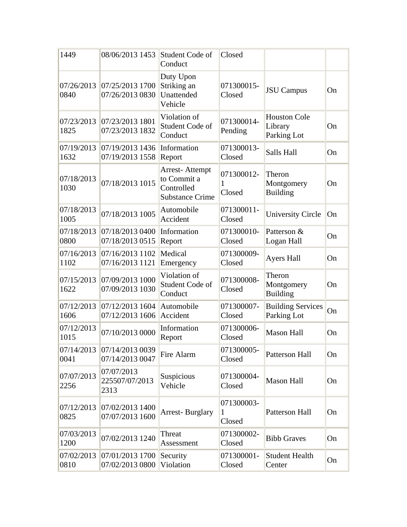| 1449               | 08/06/2013 1453                               | Student Code of<br>Conduct                                            | Closed                    |                                               |    |
|--------------------|-----------------------------------------------|-----------------------------------------------------------------------|---------------------------|-----------------------------------------------|----|
| 07/26/2013<br>0840 | 07/25/2013 1700<br>07/26/2013 0830            | Duty Upon<br>Striking an<br>Unattended<br>Vehicle                     | 071300015-<br>Closed      | <b>JSU</b> Campus                             | On |
| 07/23/2013<br>1825 | 07/23/2013 1801<br>07/23/2013 1832            | Violation of<br>Student Code of<br>Conduct                            | 071300014-<br>Pending     | <b>Houston Cole</b><br>Library<br>Parking Lot | On |
| 07/19/2013<br>1632 | 07/19/20131436 <br>07/19/2013 1558            | Information<br>Report                                                 | 071300013-<br>Closed      | Salls Hall                                    | On |
| 07/18/2013<br>1030 | 07/18/2013 1015                               | Arrest-Attempt<br>to Commit a<br>Controlled<br><b>Substance Crime</b> | 071300012-<br>1<br>Closed | Theron<br>Montgomery<br><b>Building</b>       | On |
| 07/18/2013<br>1005 | 07/18/2013 1005                               | Automobile<br>Accident                                                | 071300011-<br>Closed      | <b>University Circle</b>                      | On |
| 07/18/2013<br>0800 | 07/18/20130400<br>07/18/2013 0515             | Information<br>Report                                                 | 071300010-<br>Closed      | Patterson &<br>Logan Hall                     | On |
| 07/16/2013<br>1102 | 07/16/20131102<br>07/16/2013 1121             | Medical<br>Emergency                                                  | 071300009-<br>Closed      | <b>Ayers Hall</b>                             | On |
| 07/15/2013<br>1622 | 07/09/2013 1000<br>07/09/2013 1030            | Violation of<br>Student Code of<br>Conduct                            | 071300008-<br>Closed      | Theron<br>Montgomery<br><b>Building</b>       | On |
| 07/12/2013<br>1606 | 07/12/2013 1604<br>07/12/2013 1606            | Automobile<br>Accident                                                | 071300007-<br>Closed      | <b>Building Services</b><br>Parking Lot       | On |
| 07/12/2013<br>1015 | 07/10/2013 0000                               | Information<br>Report                                                 | 071300006-<br>Closed      | <b>Mason Hall</b>                             | On |
| 0041               | 07/14/2013 07/14/2013 0039<br>07/14/2013 0047 | Fire Alarm                                                            | 071300005-<br>Closed      | Patterson Hall                                | On |
| 07/07/2013<br>2256 | 07/07/2013<br>225507/07/2013<br>2313          | Suspicious<br>Vehicle                                                 | 071300004-<br>Closed      | <b>Mason Hall</b>                             | On |
| 07/12/2013<br>0825 | 07/02/2013 1400<br>07/07/2013 1600            | <b>Arrest-Burglary</b>                                                | 071300003-<br>1<br>Closed | Patterson Hall                                | On |
| 07/03/2013<br>1200 | 07/02/2013 1240                               | Threat<br>Assessment                                                  | 071300002-<br>Closed      | <b>Bibb Graves</b>                            | On |
| 07/02/2013<br>0810 | 07/01/2013 1700<br>07/02/2013 0800            | Security<br>Violation                                                 | 071300001-<br>Closed      | <b>Student Health</b><br>Center               | On |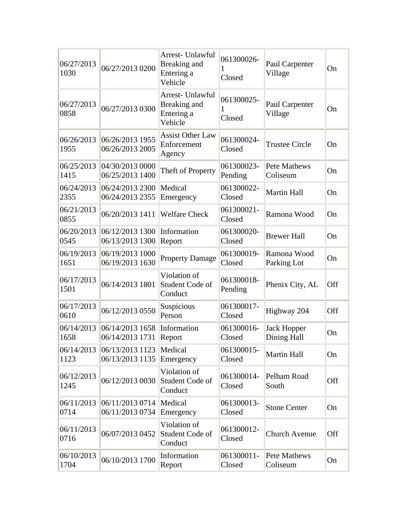| 06/27/2013<br>1030 | 06/27/2013 0200                    | Arrest- Unlawful<br>Breaking and<br>Entering a<br>Vehicle | 061300026-<br>Closed  | Paul Carpenter<br>Village         | On  |
|--------------------|------------------------------------|-----------------------------------------------------------|-----------------------|-----------------------------------|-----|
| 06/27/2013<br>0858 | 06/27/2013 0300                    | Arrest- Unlawful<br>Breaking and<br>Entering a<br>Vehicle | 061300025-<br>Closed  | Paul Carpenter<br>Village         | On  |
| 06/26/2013<br>1955 | 06/26/2013 1955<br>06/26/2013 2005 | <b>Assist Other Law</b><br>Enforcement<br>Agency          | 061300024-<br>Closed  | <b>Trustee Circle</b>             | On  |
| 06/25/2013<br>1415 | 04/30/20130000<br>06/25/2013 1400  | Theft of Property                                         | 061300023-<br>Pending | Pete Mathews<br>Coliseum          | On  |
| 06/24/2013<br>2355 | 06/24/20132300<br>06/24/2013 2355  | Medical<br>Emergency                                      | 061300022-<br>Closed  | <b>Martin Hall</b>                | On  |
| 06/21/2013<br>0855 | 06/20/2013 1411                    | <b>Welfare Check</b>                                      | 061300021-<br>Closed  | Ramona Wood                       | On  |
| 06/20/2013<br>0545 | 06/12/2013 1300<br>06/13/2013 1300 | Information<br>Report                                     | 061300020-<br>Closed  | <b>Brewer Hall</b>                | On  |
| 06/19/2013<br>1651 | 06/19/2013 1000<br>06/19/2013 1630 | <b>Property Damage</b>                                    | 061300019-<br>Closed  | Ramona Wood<br>Parking Lot        | On  |
| 06/17/2013<br>1501 | 06/14/2013 1801                    | Violation of<br>Student Code of<br>Conduct                | 061300018-<br>Pending | Phenix City, AL                   | Off |
| 06/17/2013<br>0610 | 06/12/2013 0550                    | Suspicious<br>Person                                      | 061300017-<br>Closed  | Highway 204                       | Off |
| 06/14/2013<br>1658 | 06/14/2013 1658<br>06/14/2013 1731 | Information<br>Report                                     | 061300016-<br>Closed  | <b>Jack Hopper</b><br>Dining Hall | On  |
| 06/14/2013<br>1123 | 06/13/20131123<br>06/13/2013 1135  | Medical<br>Emergency                                      | 061300015-<br>Closed  | Martin Hall                       | On  |
| 06/12/2013<br>1245 | 06/12/2013 0030                    | Violation of<br>Student Code of<br>Conduct                | 061300014-<br>Closed  | Pelham Road<br>South              | Off |
| 06/11/2013<br>0714 | 06/11/2013 0714<br>06/11/2013 0734 | Medical<br>Emergency                                      | 061300013-<br>Closed  | <b>Stone Center</b>               | On  |
| 06/11/2013<br>0716 | 06/07/2013 0452                    | Violation of<br>Student Code of<br>Conduct                | 061300012-<br>Closed  | <b>Church Avenue</b>              | Off |
| 06/10/2013<br>1704 | 06/10/2013 1700                    | Information<br>Report                                     | 061300011-<br>Closed  | Pete Mathews<br>Coliseum          | On  |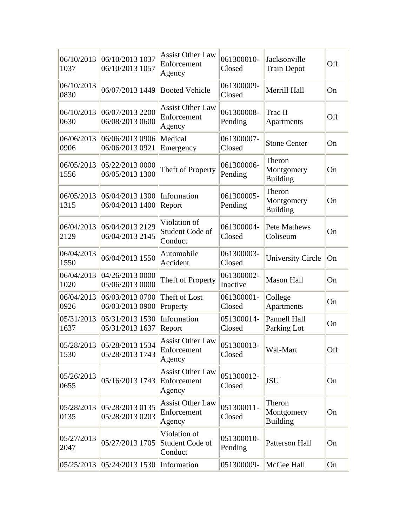| 06/10/2013<br>1037 | 06/10/2013 1037<br>06/10/2013 1057            | <b>Assist Other Law</b><br>Enforcement<br>Agency | 061300010-<br>Closed   | Jacksonville<br><b>Train Depot</b>      | Off       |
|--------------------|-----------------------------------------------|--------------------------------------------------|------------------------|-----------------------------------------|-----------|
| 06/10/2013<br>0830 | 06/07/2013 1449                               | <b>Booted Vehicle</b>                            | 061300009-<br>Closed   | Merrill Hall                            | On        |
| 06/10/2013<br>0630 | 06/07/2013 2200<br>06/08/2013 0600            | <b>Assist Other Law</b><br>Enforcement<br>Agency | 061300008-<br>Pending  | Trac II<br>Apartments                   | Off       |
| 06/06/2013<br>0906 | 06/06/2013 0906<br>06/06/2013 0921            | Medical<br>Emergency                             | 061300007-<br>Closed   | <b>Stone Center</b>                     | On        |
| 06/05/2013<br>1556 | 05/22/2013 0000<br>06/05/2013 1300            | Theft of Property                                | 061300006-<br>Pending  | Theron<br>Montgomery<br><b>Building</b> | On        |
| 06/05/2013<br>1315 | 06/04/2013 1300<br>06/04/2013 1400            | Information<br>Report                            | 061300005-<br>Pending  | Theron<br>Montgomery<br><b>Building</b> | On        |
| 06/04/2013<br>2129 | 06/04/2013 2129<br>06/04/2013 2145            | Violation of<br>Student Code of<br>Conduct       | 061300004-<br>Closed   | <b>Pete Mathews</b><br>Coliseum         | On        |
| 06/04/2013<br>1550 | 06/04/2013 1550                               | Automobile<br>Accident                           | 061300003-<br>Closed   | <b>University Circle</b>                | <b>On</b> |
| 06/04/2013<br>1020 | 04/26/2013 0000<br>05/06/2013 0000            | Theft of Property                                | 061300002-<br>Inactive | <b>Mason Hall</b>                       | On        |
| 06/04/2013<br>0926 | 06/03/2013 0700<br>06/03/2013 0900            | Theft of Lost<br>Property                        | 061300001-<br>Closed   | College<br>Apartments                   | On        |
| 05/31/2013<br>1637 | 05/31/2013 1530<br>05/31/2013 1637            | Information<br>Report                            | 051300014-<br>Closed   | Pannell Hall<br>Parking Lot             | On        |
| 1530               | 05/28/2013 05/28/2013 1534<br>05/28/2013 1743 | <b>Assist Other Law</b><br>Enforcement<br>Agency | 051300013-<br>Closed   | Wal-Mart                                | Off       |
| 05/26/2013<br>0655 | 05/16/2013 1743                               | <b>Assist Other Law</b><br>Enforcement<br>Agency | 051300012-<br>Closed   | <b>JSU</b>                              | On        |
| 0135               | 05/28/2013 05/28/2013 0135<br>05/28/2013 0203 | <b>Assist Other Law</b><br>Enforcement<br>Agency | 051300011-<br>Closed   | Theron<br>Montgomery<br><b>Building</b> | On        |
| 05/27/2013<br>2047 | 05/27/2013 1705                               | Violation of<br>Student Code of<br>Conduct       | 051300010-<br>Pending  | Patterson Hall                          | On        |
|                    | 05/25/2013 05/24/2013 1530                    | Information                                      | 051300009-             | McGee Hall                              | On        |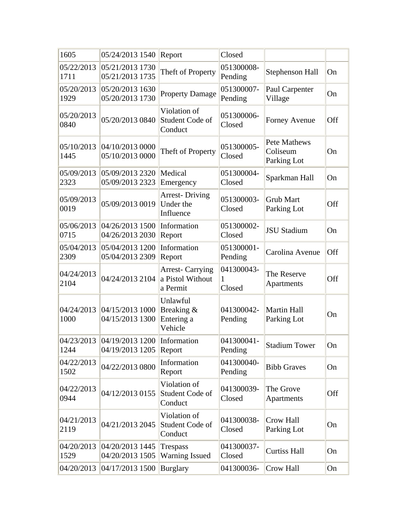| 1605               | 05/24/2013 1540                                      | Report                                                 | Closed                    |                                                |     |
|--------------------|------------------------------------------------------|--------------------------------------------------------|---------------------------|------------------------------------------------|-----|
| 05/22/2013<br>1711 | 05/21/2013 1730<br>05/21/2013 1735                   | Theft of Property                                      | 051300008-<br>Pending     | Stephenson Hall                                | On  |
| 05/20/2013<br>1929 | 05/20/2013 1630<br>05/20/2013 1730                   | <b>Property Damage</b>                                 | 051300007-<br>Pending     | Paul Carpenter<br>Village                      | On  |
| 05/20/2013<br>0840 | 05/20/2013 0840                                      | Violation of<br>Student Code of<br>Conduct             | 051300006-<br>Closed      | Forney Avenue                                  | Off |
| 05/10/2013<br>1445 | 04/10/2013 0000<br>05/10/2013 0000                   | Theft of Property                                      | 051300005-<br>Closed      | <b>Pete Mathews</b><br>Coliseum<br>Parking Lot | On  |
| 05/09/2013<br>2323 | 05/09/2013 2320<br>05/09/2013 2323                   | Medical<br>Emergency                                   | 051300004-<br>Closed      | Sparkman Hall                                  | On  |
| 05/09/2013<br>0019 | 05/09/2013 0019                                      | <b>Arrest-Driving</b><br>Under the<br>Influence        | 051300003-<br>Closed      | <b>Grub Mart</b><br>Parking Lot                | Off |
| 05/06/2013<br>0715 | 04/26/2013 1500<br>04/26/2013 2030                   | Information<br>Report                                  | 051300002-<br>Closed      | <b>JSU Stadium</b>                             | On  |
| 05/04/2013<br>2309 | 05/04/2013 1200<br>05/04/2013 2309                   | Information<br>Report                                  | 051300001-<br>Pending     | Carolina Avenue                                | Off |
| 04/24/2013<br>2104 | 04/24/2013 2104                                      | <b>Arrest-Carrying</b><br>a Pistol Without<br>a Permit | 041300043-<br>1<br>Closed | The Reserve<br><b>Apartments</b>               | Off |
| 04/24/2013<br>1000 | 04/15/2013 1000<br>04/15/2013 1300                   | Unlawful<br>Breaking &<br>Entering a<br>Vehicle        | 041300042-<br>Pending     | <b>Martin Hall</b><br>Parking Lot              | On  |
| 1244               | 04/23/2013 04/19/2013 1200<br>04/19/2013 1205 Report | Information                                            | 041300041-<br>Pending     | <b>Stadium Tower</b>                           | On  |
| 04/22/2013<br>1502 | 04/22/2013 0800                                      | Information<br>Report                                  | 041300040-<br>Pending     | <b>Bibb Graves</b>                             | On  |
| 04/22/2013<br>0944 | 04/12/2013 0155                                      | Violation of<br>Student Code of<br>Conduct             | 041300039-<br>Closed      | The Grove<br>Apartments                        | Off |
| 04/21/2013<br>2119 | 04/21/2013 2045                                      | Violation of<br>Student Code of<br>Conduct             | 041300038-<br>Closed      | Crow Hall<br>Parking Lot                       | On  |
| 04/20/2013<br>1529 | 04/20/2013 1445<br>04/20/2013 1505                   | <b>Trespass</b><br><b>Warning Issued</b>               | 041300037-<br>Closed      | <b>Curtiss Hall</b>                            | On  |
| 04/20/2013         | 04/17/2013 1500                                      | <b>Burglary</b>                                        | 041300036-                | Crow Hall                                      | On  |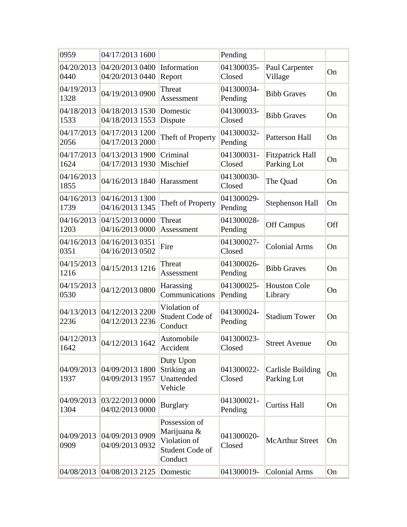| 0959               | 04/17/2013 1600                    |                                                                            | Pending               |                                        |     |
|--------------------|------------------------------------|----------------------------------------------------------------------------|-----------------------|----------------------------------------|-----|
| 04/20/2013<br>0440 | 04/20/2013 0400<br>04/20/2013 0440 | Information<br>Report                                                      | 041300035-<br>Closed  | Paul Carpenter<br>Village              | On  |
| 04/19/2013<br>1328 | 04/19/2013 0900                    | Threat<br>Assessment                                                       | 041300034-<br>Pending | <b>Bibb Graves</b>                     | On  |
| 04/18/2013<br>1533 | 04/18/2013 1530<br>04/18/2013 1553 | Domestic<br>Dispute                                                        | 041300033-<br>Closed  | <b>Bibb Graves</b>                     | On  |
| 04/17/2013<br>2056 | 04/17/2013 1200<br>04/17/2013 2000 | Theft of Property                                                          | 041300032-<br>Pending | <b>Patterson Hall</b>                  | On  |
| 04/17/2013<br>1624 | 04/13/2013 1900<br>04/17/2013 1930 | Criminal<br>Mischief                                                       | 041300031-<br>Closed  | <b>Fitzpatrick Hall</b><br>Parking Lot | On  |
| 04/16/2013<br>1855 | 04/16/2013 1840                    | Harassment                                                                 | 041300030-<br>Closed  | The Quad                               | On  |
| 04/16/2013<br>1739 | 04/16/2013 1300<br>04/16/2013 1345 | Theft of Property                                                          | 041300029-<br>Pending | <b>Stephenson Hall</b>                 | On  |
| 04/16/2013<br>1203 | 04/15/2013 0000<br>04/16/2013 0000 | Threat<br>Assessment                                                       | 041300028-<br>Pending | <b>Off Campus</b>                      | Off |
| 04/16/2013<br>0351 | 04/16/2013 0351<br>04/16/2013 0502 | Fire                                                                       | 041300027-<br>Closed  | <b>Colonial Arms</b>                   | On  |
| 04/15/2013<br>1216 | 04/15/2013 1216                    | Threat<br>Assessment                                                       | 041300026-<br>Pending | <b>Bibb Graves</b>                     | On  |
| 04/15/2013<br>0530 | 04/12/2013 0800                    | Harassing<br>Communications                                                | 041300025-<br>Pending | <b>Houston Cole</b><br>Library         | On  |
| 04/13/2013<br>2236 | 04/12/2013 2200<br>04/12/2013 2236 | Violation of<br>Student Code of<br>Conduct                                 | 041300024-<br>Pending | <b>Stadium Tower</b>                   | On  |
| 04/12/2013<br>1642 | 04/12/2013 1642                    | Automobile<br>Accident                                                     | 041300023-<br>Closed  | <b>Street Avenue</b>                   | On  |
| 04/09/2013<br>1937 | 04/09/2013 1800<br>04/09/2013 1957 | Duty Upon<br>Striking an<br>Unattended<br>Vehicle                          | 041300022-<br>Closed  | Carlisle Building<br>Parking Lot       | On  |
| 04/09/2013<br>1304 | 03/22/2013 0000<br>04/02/2013 0000 | <b>Burglary</b>                                                            | 041300021-<br>Pending | <b>Curtiss Hall</b>                    | On  |
| 04/09/2013<br>0909 | 04/09/2013 0909<br>04/09/2013 0932 | Possession of<br>Marijuana &<br>Violation of<br>Student Code of<br>Conduct | 041300020-<br>Closed  | <b>McArthur Street</b>                 | On  |
| 04/08/2013         | 04/08/2013 2125                    | Domestic                                                                   | 041300019-            | <b>Colonial Arms</b>                   | On  |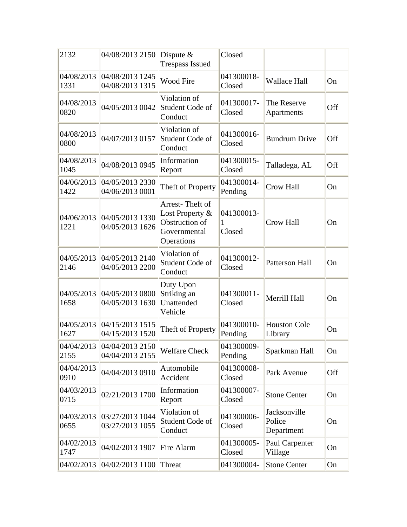| 2132               | 04/08/2013 2150                    | Dispute $&$<br><b>Trespass Issued</b>                                              | Closed                    |                                      |     |
|--------------------|------------------------------------|------------------------------------------------------------------------------------|---------------------------|--------------------------------------|-----|
| 04/08/2013<br>1331 | 04/08/2013 1245<br>04/08/2013 1315 | <b>Wood Fire</b>                                                                   | 041300018-<br>Closed      | <b>Wallace Hall</b>                  | On  |
| 04/08/2013<br>0820 | 04/05/2013 0042                    | Violation of<br>Student Code of<br>Conduct                                         | 041300017-<br>Closed      | The Reserve<br>Apartments            | Off |
| 04/08/2013<br>0800 | 04/07/2013 0157                    | Violation of<br>Student Code of<br>Conduct                                         | 041300016-<br>Closed      | <b>Bundrum Drive</b>                 | Off |
| 04/08/2013<br>1045 | 04/08/2013 0945                    | Information<br>Report                                                              | 041300015-<br>Closed      | Talladega, AL                        | Off |
| 04/06/2013<br>1422 | 04/05/2013 2330<br>04/06/2013 0001 | Theft of Property                                                                  | 041300014-<br>Pending     | Crow Hall                            | On  |
| 04/06/2013<br>1221 | 04/05/2013 1330<br>04/05/2013 1626 | Arrest-Theft of<br>Lost Property &<br>Obstruction of<br>Governmental<br>Operations | 041300013-<br>1<br>Closed | <b>Crow Hall</b>                     | On  |
| 04/05/2013<br>2146 | 04/05/2013 2140<br>04/05/2013 2200 | Violation of<br>Student Code of<br>Conduct                                         | 041300012-<br>Closed      | <b>Patterson Hall</b>                | On  |
| 04/05/2013<br>1658 | 04/05/2013 0800<br>04/05/2013 1630 | Duty Upon<br>Striking an<br>Unattended<br>Vehicle                                  | 041300011-<br>Closed      | Merrill Hall                         | On  |
| 04/05/2013<br>1627 | 04/15/2013 1515<br>04/15/2013 1520 | Theft of Property                                                                  | 041300010-<br>Pending     | <b>Houston Cole</b><br>Library       | On  |
| 04/04/2013<br>2155 | 04/04/2013 2150<br>04/04/2013 2155 | <b>Welfare Check</b>                                                               | 041300009-<br>Pending     | Sparkman Hall                        | On  |
| 04/04/2013<br>0910 | 04/04/2013 0910                    | Automobile<br>Accident                                                             | 041300008-<br>Closed      | Park Avenue                          | Off |
| 04/03/2013<br>0715 | 02/21/2013 1700                    | Information<br>Report                                                              | 041300007-<br>Closed      | <b>Stone Center</b>                  | On  |
| 04/03/2013<br>0655 | 03/27/2013 1044<br>03/27/2013 1055 | Violation of<br>Student Code of<br>Conduct                                         | 041300006-<br>Closed      | Jacksonville<br>Police<br>Department | On  |
| 04/02/2013<br>1747 | 04/02/2013 1907                    | Fire Alarm                                                                         | 041300005-<br>Closed      | Paul Carpenter<br>Village            | On  |
| 04/02/2013         | 04/02/2013 1100                    | Threat                                                                             | 041300004-                | <b>Stone Center</b>                  | On  |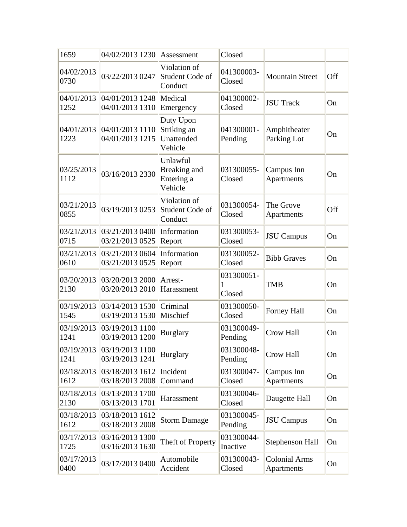| 1659               | 04/02/2013 1230                    | Assessment                                        | Closed                    |                                    |     |
|--------------------|------------------------------------|---------------------------------------------------|---------------------------|------------------------------------|-----|
| 04/02/2013<br>0730 | 03/22/2013 0247                    | Violation of<br>Student Code of<br>Conduct        | 041300003-<br>Closed      | <b>Mountain Street</b>             | Off |
| 04/01/2013<br>1252 | 04/01/2013 1248<br>04/01/2013 1310 | Medical<br>Emergency                              | 041300002-<br>Closed      | <b>JSU Track</b>                   | On  |
| 04/01/2013<br>1223 | 04/01/2013 1110<br>04/01/2013 1215 | Duty Upon<br>Striking an<br>Unattended<br>Vehicle | 041300001-<br>Pending     | Amphitheater<br>Parking Lot        | On  |
| 03/25/2013<br>1112 | 03/16/2013 2330                    | Unlawful<br>Breaking and<br>Entering a<br>Vehicle | 031300055-<br>Closed      | Campus Inn<br><b>Apartments</b>    | On  |
| 03/21/2013<br>0855 | 03/19/2013 0253                    | Violation of<br>Student Code of<br>Conduct        | 031300054-<br>Closed      | The Grove<br>Apartments            | Off |
| 03/21/2013<br>0715 | 03/21/2013 0400<br>03/21/2013 0525 | Information<br>Report                             | 031300053-<br>Closed      | <b>JSU</b> Campus                  | On  |
| 03/21/2013<br>0610 | 03/21/2013 0604<br>03/21/2013 0525 | Information<br>Report                             | 031300052-<br>Closed      | <b>Bibb Graves</b>                 | On  |
| 03/20/2013<br>2130 | 03/20/2013 2000<br>03/20/2013 2010 | Arrest-<br>Harassment                             | 031300051-<br>1<br>Closed | <b>TMB</b>                         | On  |
| 03/19/2013<br>1545 | 03/14/2013 1530<br>03/19/2013 1530 | Criminal<br>Mischief                              | 031300050-<br>Closed      | Forney Hall                        | On  |
| 03/19/2013<br>1241 | 03/19/2013 1100<br>03/19/2013 1200 | <b>Burglary</b>                                   | 031300049-<br>Pending     | <b>Crow Hall</b>                   | On  |
| 03/19/2013<br>1241 | 03/19/20131100<br>03/19/2013 1241  | <b>Burglary</b>                                   | 031300048-<br>Pending     | Crow Hall                          | On  |
| 03/18/2013<br>1612 | 03/18/2013 1612<br>03/18/2013 2008 | Incident<br>Command                               | 031300047-<br>Closed      | Campus Inn<br>Apartments           | On  |
| 03/18/2013<br>2130 | 03/13/2013 1700<br>03/13/2013 1701 | Harassment                                        | 031300046-<br>Closed      | Daugette Hall                      | On  |
| 03/18/2013<br>1612 | 03/18/2013 1612<br>03/18/2013 2008 | <b>Storm Damage</b>                               | 031300045-<br>Pending     | <b>JSU</b> Campus                  | On  |
| 03/17/2013<br>1725 | 03/16/2013 1300<br>03/16/2013 1630 | Theft of Property                                 | 031300044-<br>Inactive    | Stephenson Hall                    | On  |
| 03/17/2013<br>0400 | 03/17/2013 0400                    | Automobile<br>Accident                            | 031300043-<br>Closed      | <b>Colonial Arms</b><br>Apartments | On  |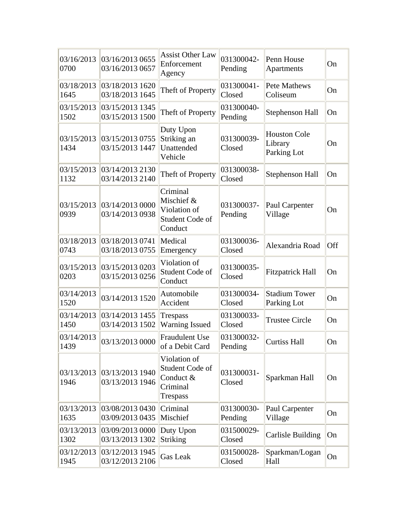| 03/16/2013<br>0700 | 03/16/2013 0655<br>03/16/2013 0657 | <b>Assist Other Law</b><br>Enforcement<br>Agency                            | 031300042-<br>Pending | Penn House<br>Apartments                      | On  |
|--------------------|------------------------------------|-----------------------------------------------------------------------------|-----------------------|-----------------------------------------------|-----|
| 03/18/2013<br>1645 | 03/18/2013 1620<br>03/18/2013 1645 | Theft of Property                                                           | 031300041-<br>Closed  | Pete Mathews<br>Coliseum                      | On  |
| 03/15/2013<br>1502 | 03/15/2013 1345<br>03/15/2013 1500 | Theft of Property                                                           | 031300040-<br>Pending | <b>Stephenson Hall</b>                        | On  |
| 03/15/2013<br>1434 | 03/15/2013 0755<br>03/15/2013 1447 | Duty Upon<br>Striking an<br>Unattended<br>Vehicle                           | 031300039-<br>Closed  | <b>Houston Cole</b><br>Library<br>Parking Lot | On  |
| 03/15/2013<br>1132 | 03/14/2013 2130<br>03/14/2013 2140 | Theft of Property                                                           | 031300038-<br>Closed  | <b>Stephenson Hall</b>                        | On  |
| 03/15/2013<br>0939 | 03/14/2013 0000<br>03/14/2013 0938 | Criminal<br>Mischief &<br>Violation of<br>Student Code of<br>Conduct        | 031300037-<br>Pending | Paul Carpenter<br>Village                     | On  |
| 03/18/2013<br>0743 | 03/18/2013 0741<br>03/18/2013 0755 | Medical<br>Emergency                                                        | 031300036-<br>Closed  | Alexandria Road                               | Off |
| 03/15/2013<br>0203 | 03/15/2013 0203<br>03/15/2013 0256 | Violation of<br>Student Code of<br>Conduct                                  | 031300035-<br>Closed  | <b>Fitzpatrick Hall</b>                       | On  |
| 03/14/2013<br>1520 | 03/14/2013 1520                    | Automobile<br>Accident                                                      | 031300034-<br>Closed  | <b>Stadium Tower</b><br>Parking Lot           | On  |
| 03/14/2013<br>1450 | 03/14/2013 1455<br>03/14/2013 1502 | Trespass<br><b>Warning Issued</b>                                           | 031300033-<br>Closed  | <b>Trustee Circle</b>                         | On  |
| 03/14/2013<br>1439 | 03/13/2013 0000                    | <b>Fraudulent Use</b><br>of a Debit Card                                    | 031300032-<br>Pending | <b>Curtiss Hall</b>                           | On  |
| 03/13/2013<br>1946 | 03/13/2013 1940<br>03/13/2013 1946 | Violation of<br>Student Code of<br>Conduct &<br>Criminal<br><b>Trespass</b> | 031300031-<br>Closed  | Sparkman Hall                                 | On  |
| 03/13/2013<br>1635 | 03/08/2013 0430<br>03/09/2013 0435 | Criminal<br>Mischief                                                        | 031300030-<br>Pending | Paul Carpenter<br>Village                     | On  |
| 03/13/2013<br>1302 | 03/09/2013 0000<br>03/13/2013 1302 | Duty Upon<br>Striking                                                       | 031500029-<br>Closed  | <b>Carlisle Building</b>                      | On  |
| 03/12/2013<br>1945 | 03/12/2013 1945<br>03/12/2013 2106 | <b>Gas Leak</b>                                                             | 031500028-<br>Closed  | Sparkman/Logan<br>Hall                        | On  |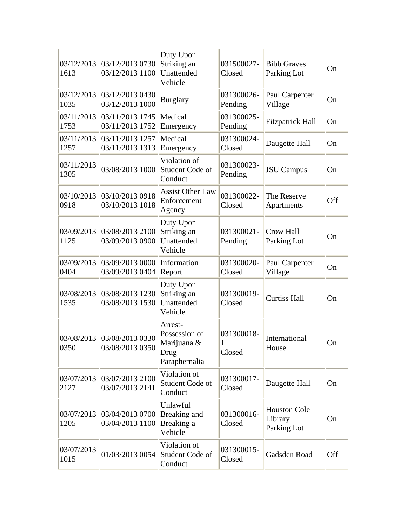| 03/12/2013<br>1613 | 03/12/2013 0730<br>03/12/2013 1100 | Duty Upon<br>Striking an<br>Unattended<br>Vehicle                | 031500027-<br>Closed      | <b>Bibb Graves</b><br>Parking Lot             | On  |
|--------------------|------------------------------------|------------------------------------------------------------------|---------------------------|-----------------------------------------------|-----|
| 03/12/2013<br>1035 | 03/12/2013 0430<br>03/12/2013 1000 | <b>Burglary</b>                                                  | 031300026-<br>Pending     | Paul Carpenter<br>Village                     | On  |
| 03/11/2013<br>1753 | 03/11/2013 1745<br>03/11/2013 1752 | Medical<br>Emergency                                             | 031300025-<br>Pending     | <b>Fitzpatrick Hall</b>                       | On  |
| 03/11/2013<br>1257 | 03/11/2013 1257<br>03/11/2013 1313 | Medical<br>Emergency                                             | 031300024-<br>Closed      | Daugette Hall                                 | On  |
| 03/11/2013<br>1305 | 03/08/2013 1000                    | Violation of<br>Student Code of<br>Conduct                       | 031300023-<br>Pending     | <b>JSU</b> Campus                             | On  |
| 03/10/2013<br>0918 | 03/10/2013 0918<br>03/10/2013 1018 | <b>Assist Other Law</b><br>Enforcement<br>Agency                 | 031300022-<br>Closed      | The Reserve<br>Apartments                     | Off |
| 03/09/2013<br>1125 | 03/08/2013 2100<br>03/09/2013 0900 | Duty Upon<br>Striking an<br>Unattended<br>Vehicle                | 031300021-<br>Pending     | Crow Hall<br>Parking Lot                      | On  |
| 03/09/2013<br>0404 | 03/09/2013 0000<br>03/09/2013 0404 | Information<br>Report                                            | 031300020-<br>Closed      | Paul Carpenter<br>Village                     | On  |
| 03/08/2013<br>1535 | 03/08/2013 1230<br>03/08/2013 1530 | Duty Upon<br>Striking an<br>Unattended<br>Vehicle                | 031300019-<br>Closed      | <b>Curtiss Hall</b>                           | On  |
| 03/08/2013<br>0350 | 03/08/2013 0330<br>03/08/2013 0350 | Arrest-<br>Possession of<br>Marijuana &<br>Drug<br>Paraphernalia | 031300018-<br>1<br>Closed | International<br>House                        | On  |
| 03/07/2013<br>2127 | 03/07/2013 2100<br>03/07/2013 2141 | Violation of<br>Student Code of<br>Conduct                       | 031300017-<br>Closed      | Daugette Hall                                 | On  |
| 03/07/2013<br>1205 | 03/04/2013 0700<br>03/04/2013 1100 | Unlawful<br>Breaking and<br>Breaking a<br>Vehicle                | 031300016-<br>Closed      | <b>Houston Cole</b><br>Library<br>Parking Lot | On  |
| 03/07/2013<br>1015 | 01/03/2013 0054                    | Violation of<br>Student Code of<br>Conduct                       | 031300015-<br>Closed      | Gadsden Road                                  | Off |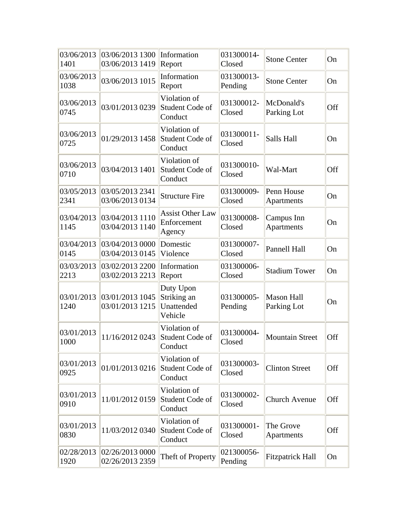| 03/06/2013<br>1401 | 03/06/2013 1300<br>03/06/2013 1419 | Information<br>Report                             | 031300014-<br>Closed  | <b>Stone Center</b>              | On  |
|--------------------|------------------------------------|---------------------------------------------------|-----------------------|----------------------------------|-----|
| 03/06/2013<br>1038 | 03/06/2013 1015                    | Information<br>Report                             | 031300013-<br>Pending | <b>Stone Center</b>              | On  |
| 03/06/2013<br>0745 | 03/01/2013 0239                    | Violation of<br>Student Code of<br>Conduct        | 031300012-<br>Closed  | McDonald's<br>Parking Lot        | Off |
| 03/06/2013<br>0725 | 01/29/2013 1458                    | Violation of<br>Student Code of<br>Conduct        | 031300011-<br>Closed  | Salls Hall                       | On  |
| 03/06/2013<br>0710 | 03/04/2013 1401                    | Violation of<br>Student Code of<br>Conduct        | 031300010-<br>Closed  | Wal-Mart                         | Off |
| 03/05/2013<br>2341 | 03/05/2013 2341<br>03/06/2013 0134 | <b>Structure Fire</b>                             | 031300009-<br>Closed  | Penn House<br>Apartments         | On  |
| 03/04/2013<br>1145 | 03/04/2013 1110<br>03/04/2013 1140 | <b>Assist Other Law</b><br>Enforcement<br>Agency  | 031300008-<br>Closed  | Campus Inn<br>Apartments         | On  |
| 03/04/2013<br>0145 | 03/04/2013 0000<br>03/04/2013 0145 | Domestic<br>Violence                              | 031300007-<br>Closed  | Pannell Hall                     | On  |
| 03/03/2013<br>2213 | 03/02/2013 2200<br>03/02/2013 2213 | Information<br>Report                             | 031300006-<br>Closed  | <b>Stadium Tower</b>             | On  |
| 03/01/2013<br>1240 | 03/01/2013 1045<br>03/01/2013 1215 | Duty Upon<br>Striking an<br>Unattended<br>Vehicle | 031300005-<br>Pending | <b>Mason Hall</b><br>Parking Lot | On  |
| 03/01/2013<br>1000 | 11/16/2012 0243                    | Violation of<br>Student Code of<br>Conduct        | 031300004-<br>Closed  | <b>Mountain Street</b>           | Off |
| 03/01/2013<br>0925 | 01/01/2013 0216                    | Violation of<br>Student Code of<br>Conduct        | 031300003-<br>Closed  | <b>Clinton Street</b>            | Off |
| 03/01/2013<br>0910 | 11/01/2012 0159                    | Violation of<br>Student Code of<br>Conduct        | 031300002-<br>Closed  | <b>Church Avenue</b>             | Off |
| 03/01/2013<br>0830 | 11/03/2012 0340                    | Violation of<br>Student Code of<br>Conduct        | 031300001-<br>Closed  | The Grove<br>Apartments          | Off |
| 02/28/2013<br>1920 | 02/26/2013 0000<br>02/26/2013 2359 | Theft of Property                                 | 021300056-<br>Pending | <b>Fitzpatrick Hall</b>          | On  |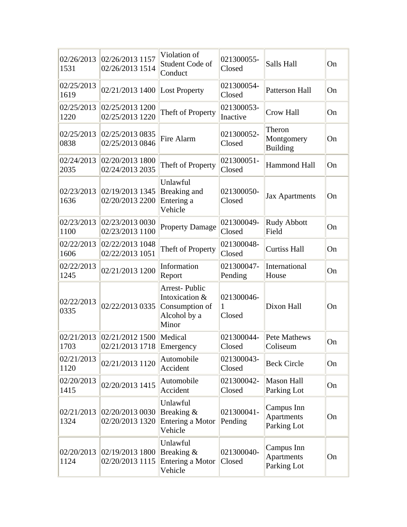| 02/26/2013<br>1531 | 02/26/2013 1157<br>02/26/2013 1514           | Violation of<br>Student Code of<br>Conduct                                        | 021300055-<br>Closed      | Salls Hall                                     | On |
|--------------------|----------------------------------------------|-----------------------------------------------------------------------------------|---------------------------|------------------------------------------------|----|
| 02/25/2013<br>1619 | 02/21/2013 1400                              | <b>Lost Property</b>                                                              | 021300054-<br>Closed      | Patterson Hall                                 | On |
| 02/25/2013<br>1220 | 02/25/2013 1200<br>02/25/2013 1220           | Theft of Property                                                                 | 021300053-<br>Inactive    | <b>Crow Hall</b>                               | On |
| 02/25/2013<br>0838 | 02/25/2013 0835<br>02/25/2013 0846           | Fire Alarm                                                                        | 021300052-<br>Closed      | Theron<br>Montgomery<br><b>Building</b>        | On |
| 02/24/2013<br>2035 | 02/20/2013 1800<br>02/24/2013 2035           | Theft of Property                                                                 | 021300051-<br>Closed      | <b>Hammond Hall</b>                            | On |
| 02/23/2013<br>1636 | 02/19/2013 1345<br>02/20/2013 2200           | Unlawful<br>Breaking and<br>Entering a<br>Vehicle                                 | 021300050-<br>Closed      | <b>Jax Apartments</b>                          | On |
| 02/23/2013<br>1100 | 02/23/2013 0030<br>02/23/2013 1100           | <b>Property Damage</b>                                                            | 021300049-<br>Closed      | Rudy Abbott<br>Field                           | On |
| 02/22/2013<br>1606 | 02/22/20131048<br>02/22/2013 1051            | Theft of Property                                                                 | 021300048-<br>Closed      | <b>Curtiss Hall</b>                            | On |
| 02/22/2013<br>1245 | 02/21/2013 1200                              | Information<br>Report                                                             | 021300047-<br>Pending     | International<br>House                         | On |
| 02/22/2013<br>0335 | 02/22/2013 0335                              | <b>Arrest-Public</b><br>Intoxication &<br>Consumption of<br>Alcohol by a<br>Minor | 021300046-<br>1<br>Closed | Dixon Hall                                     | On |
| 02/21/2013<br>1703 | 02/21/2012 1500<br>02/21/2013 1718 Emergency | Medical                                                                           | 021300044-<br>Closed      | Pete Mathews<br>Coliseum                       | On |
| 02/21/2013<br>1120 | 02/21/2013 1120                              | Automobile<br>Accident                                                            | 021300043-<br>Closed      | <b>Beck Circle</b>                             | On |
| 02/20/2013<br>1415 | 02/20/2013 1415                              | Automobile<br>Accident                                                            | 021300042-<br>Closed      | <b>Mason Hall</b><br>Parking Lot               | On |
| 02/21/2013<br>1324 | 02/20/2013 0030<br>02/20/2013 1320           | Unlawful<br>Breaking &<br>Entering a Motor<br>Vehicle                             | 021300041-<br>Pending     | Campus Inn<br>Apartments<br>Parking Lot        | On |
| 02/20/2013<br>1124 | 02/19/20131800<br>02/20/2013 1115            | Unlawful<br>Breaking &<br>Entering a Motor<br>Vehicle                             | 021300040-<br>Closed      | Campus Inn<br><b>Apartments</b><br>Parking Lot | On |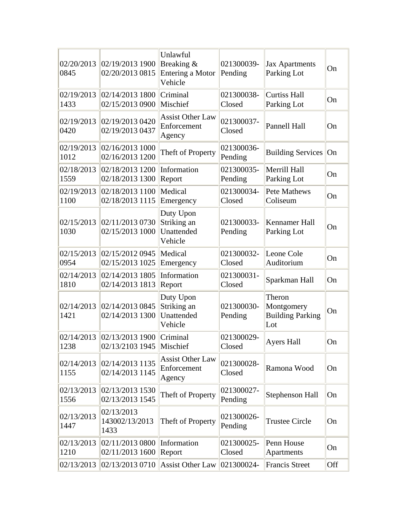| 02/20/2013<br>0845 | 02/19/2013 1900<br>02/20/2013 0815   | Unlawful<br>Breaking &<br><b>Entering a Motor</b><br>Vehicle | 021300039-<br>Pending | <b>Jax Apartments</b><br>Parking Lot                   | On  |
|--------------------|--------------------------------------|--------------------------------------------------------------|-----------------------|--------------------------------------------------------|-----|
| 02/19/2013<br>1433 | 02/14/2013 1800<br>02/15/2013 0900   | Criminal<br>Mischief                                         | 021300038-<br>Closed  | <b>Curtiss Hall</b><br>Parking Lot                     | On  |
| 02/19/2013<br>0420 | 02/19/2013 0420<br>02/19/2013 0437   | <b>Assist Other Law</b><br>Enforcement<br>Agency             | 021300037-<br>Closed  | Pannell Hall                                           | On  |
| 02/19/2013<br>1012 | 02/16/2013 1000<br>02/16/2013 1200   | Theft of Property                                            | 021300036-<br>Pending | <b>Building Services</b>                               | On  |
| 02/18/2013<br>1559 | 02/18/2013 1200<br>02/18/2013 1300   | Information<br>Report                                        | 021300035-<br>Pending | Merrill Hall<br>Parking Lot                            | On  |
| 02/19/2013<br>1100 | 02/18/2013 1100<br>02/18/2013 1115   | Medical<br>Emergency                                         | 021300034-<br>Closed  | <b>Pete Mathews</b><br>Coliseum                        | On  |
| 02/15/2013<br>1030 | 02/11/2013 0730<br>02/15/2013 1000   | Duty Upon<br>Striking an<br>Unattended<br>Vehicle            | 021300033-<br>Pending | Kennamer Hall<br>Parking Lot                           | On  |
| 02/15/2013<br>0954 | 02/15/2012 0945<br>02/15/2013 1025   | Medical<br>Emergency                                         | 021300032-<br>Closed  | Leone Cole<br>Auditorium                               | On  |
| 02/14/2013<br>1810 | 02/14/2013 1805<br>02/14/2013 1813   | Information<br>Report                                        | 021300031-<br>Closed  | Sparkman Hall                                          | On  |
| 02/14/2013<br>1421 | 02/14/2013 0845<br>02/14/2013 1300   | Duty Upon<br>Striking an<br>Unattended<br>Vehicle            | 021300030-<br>Pending | Theron<br>Montgomery<br><b>Building Parking</b><br>Lot | On  |
| 02/14/2013<br>1238 | 02/13/2013 1900<br>02/13/2103 1945   | Criminal<br>Mischief                                         | 021300029-<br>Closed  | <b>Ayers Hall</b>                                      | On  |
| 02/14/2013<br>1155 | 02/14/2013 1135<br>02/14/2013 1145   | <b>Assist Other Law</b><br>Enforcement<br>Agency             | 021300028-<br>Closed  | Ramona Wood                                            | On  |
| 02/13/2013<br>1556 | 02/13/2013 1530<br>02/13/2013 1545   | Theft of Property                                            | 021300027-<br>Pending | Stephenson Hall                                        | On  |
| 02/13/2013<br>1447 | 02/13/2013<br>143002/13/2013<br>1433 | Theft of Property                                            | 021300026-<br>Pending | <b>Trustee Circle</b>                                  | On  |
| 02/13/2013<br>1210 | 02/11/2013 0800<br>02/11/2013 1600   | Information<br>Report                                        | 021300025-<br>Closed  | Penn House<br>Apartments                               | On  |
| 02/13/2013         | 02/13/2013 0710                      | <b>Assist Other Law</b>                                      | 021300024-            | <b>Francis Street</b>                                  | Off |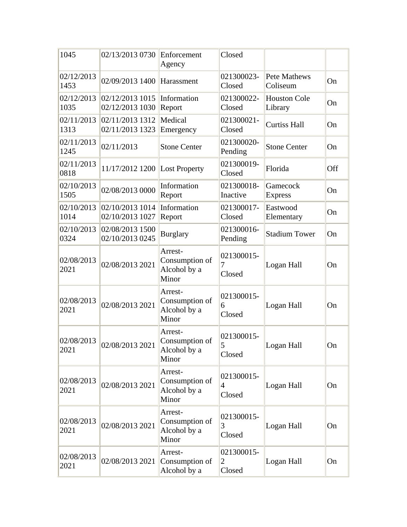| 1045               | 02/13/2013 0730                               | Enforcement<br>Agency                              | Closed                                 |                                |     |
|--------------------|-----------------------------------------------|----------------------------------------------------|----------------------------------------|--------------------------------|-----|
| 02/12/2013<br>1453 | 02/09/2013 1400                               | Harassment                                         | 021300023-<br>Closed                   | Pete Mathews<br>Coliseum       | On  |
| 1035               | 02/12/2013 02/12/2013 1015<br>02/12/2013 1030 | Information<br>Report                              | 021300022-<br>Closed                   | <b>Houston Cole</b><br>Library | On  |
| 1313               | 02/11/2013 02/11/2013 1312<br>02/11/2013 1323 | Medical<br>Emergency                               | 021300021-<br>Closed                   | <b>Curtiss Hall</b>            | On  |
| 02/11/2013<br>1245 | 02/11/2013                                    | <b>Stone Center</b>                                | 021300020-<br>Pending                  | <b>Stone Center</b>            | On  |
| 02/11/2013<br>0818 | 11/17/2012 1200                               | <b>Lost Property</b>                               | 021300019-<br>Closed                   | Florida                        | Off |
| 02/10/2013<br>1505 | 02/08/2013 0000                               | Information<br>Report                              | 021300018-<br>Inactive                 | Gamecock<br><b>Express</b>     | On  |
| 1014               | 02/10/2013 02/10/2013 1014<br>02/10/2013 1027 | Information<br>Report                              | 021300017-<br>Closed                   | Eastwood<br>Elementary         | On  |
| 02/10/2013<br>0324 | 02/08/2013 1500<br>02/10/2013 0245            | <b>Burglary</b>                                    | 021300016-<br>Pending                  | <b>Stadium Tower</b>           | On  |
| 02/08/2013<br>2021 | 02/08/2013 2021                               | Arrest-<br>Consumption of<br>Alcohol by a<br>Minor | 021300015-<br>7<br>Closed              | Logan Hall                     | On  |
| 02/08/2013<br>2021 | 02/08/2013 2021                               | Arrest-<br>Consumption of<br>Alcohol by a<br>Minor | 021300015-<br>6<br>Closed              | Logan Hall                     | On  |
| 02/08/2013<br>2021 | 02/08/2013 2021                               | Arrest-<br>Consumption of<br>Alcohol by a<br>Minor | 021300015-<br>5<br>Closed              | Logan Hall                     | On  |
| 02/08/2013<br>2021 | 02/08/2013 2021                               | Arrest-<br>Consumption of<br>Alcohol by a<br>Minor | 021300015-<br>$\overline{4}$<br>Closed | Logan Hall                     | On  |
| 02/08/2013<br>2021 | 02/08/2013 2021                               | Arrest-<br>Consumption of<br>Alcohol by a<br>Minor | 021300015-<br>3<br>Closed              | Logan Hall                     | On  |
| 02/08/2013<br>2021 | 02/08/2013 2021                               | Arrest-<br>Consumption of<br>Alcohol by a          | 021300015-<br>$\overline{2}$<br>Closed | Logan Hall                     | On  |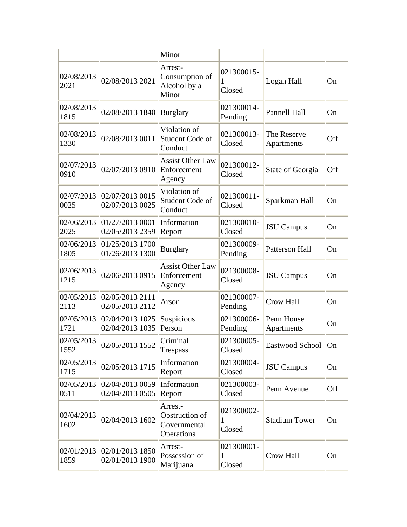|                    |                                    | Minor                                                   |                           |                           |           |
|--------------------|------------------------------------|---------------------------------------------------------|---------------------------|---------------------------|-----------|
| 02/08/2013<br>2021 | 02/08/2013 2021                    | Arrest-<br>Consumption of<br>Alcohol by a<br>Minor      | 021300015-<br>1<br>Closed | Logan Hall                | <b>On</b> |
| 02/08/2013<br>1815 | 02/08/2013 1840                    | <b>Burglary</b>                                         | 021300014-<br>Pending     | Pannell Hall              | On        |
| 02/08/2013<br>1330 | 02/08/2013 0011                    | Violation of<br>Student Code of<br>Conduct              | 021300013-<br>Closed      | The Reserve<br>Apartments | Off       |
| 02/07/2013<br>0910 | 02/07/2013 0910                    | <b>Assist Other Law</b><br>Enforcement<br>Agency        | 021300012-<br>Closed      | State of Georgia          | Off       |
| 02/07/2013<br>0025 | 02/07/2013 0015<br>02/07/2013 0025 | Violation of<br>Student Code of<br>Conduct              | 021300011-<br>Closed      | Sparkman Hall             | On        |
| 02/06/2013<br>2025 | 01/27/2013 0001<br>02/05/2013 2359 | Information<br>Report                                   | 021300010-<br>Closed      | <b>JSU</b> Campus         | On        |
| 02/06/2013<br>1805 | 01/25/2013 1700<br>01/26/2013 1300 | <b>Burglary</b>                                         | 021300009-<br>Pending     | <b>Patterson Hall</b>     | On        |
| 02/06/2013<br>1215 | 02/06/2013 0915                    | <b>Assist Other Law</b><br>Enforcement<br>Agency        | 021300008-<br>Closed      | <b>JSU</b> Campus         | <b>On</b> |
| 02/05/2013<br>2113 | 02/05/2013 2111<br>02/05/2013 2112 | Arson                                                   | 021300007-<br>Pending     | <b>Crow Hall</b>          | On        |
| 02/05/2013<br>1721 | 02/04/2013 1025<br>02/04/2013 1035 | Suspicious<br>Person                                    | 021300006-<br>Pending     | Penn House<br>Apartments  | On        |
| 02/05/2013<br>1552 | 02/05/2013 1552                    | Criminal<br>Trespass                                    | 021300005-<br>Closed      | Eastwood School   On      |           |
| 02/05/2013<br>1715 | 02/05/2013 1715                    | Information<br>Report                                   | 021300004-<br>Closed      | <b>JSU</b> Campus         | On        |
| 02/05/2013<br>0511 | 02/04/2013 0059<br>02/04/2013 0505 | Information<br>Report                                   | 021300003-<br>Closed      | Penn Avenue               | Off       |
| 02/04/2013<br>1602 | 02/04/2013 1602                    | Arrest-<br>Obstruction of<br>Governmental<br>Operations | 021300002-<br>1<br>Closed | <b>Stadium Tower</b>      | On        |
| 02/01/2013<br>1859 | 02/01/2013 1850<br>02/01/2013 1900 | Arrest-<br>Possession of<br>Marijuana                   | 021300001-<br>1<br>Closed | Crow Hall                 | On        |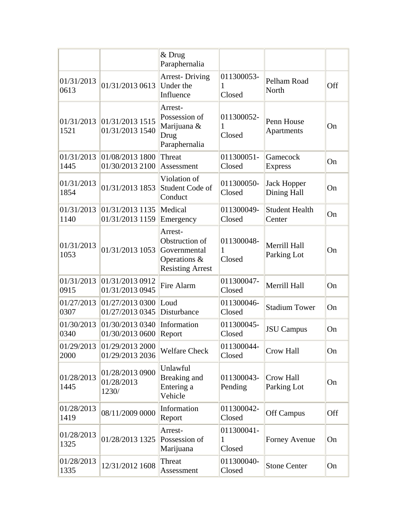|                    |                                        | & Drug<br>Paraphernalia                                                              |                           |                                   |     |
|--------------------|----------------------------------------|--------------------------------------------------------------------------------------|---------------------------|-----------------------------------|-----|
| 01/31/2013<br>0613 | 01/31/2013 0613                        | <b>Arrest-Driving</b><br>Under the<br>Influence                                      | 011300053-<br>1<br>Closed | Pelham Road<br>North              | Off |
| 01/31/2013<br>1521 | 01/31/20131515<br>01/31/2013 1540      | Arrest-<br>Possession of<br>Marijuana &<br>Drug<br>Paraphernalia                     | 011300052-<br>Closed      | Penn House<br>Apartments          | On  |
| 01/31/2013<br>1445 | 01/08/2013 1800<br>01/30/2013 2100     | Threat<br>Assessment                                                                 | 011300051-<br>Closed      | Gamecock<br><b>Express</b>        | On  |
| 01/31/2013<br>1854 | 01/31/2013 1853                        | Violation of<br>Student Code of<br>Conduct                                           | 011300050-<br>Closed      | <b>Jack Hopper</b><br>Dining Hall | On  |
| 01/31/2013<br>1140 | 01/31/2013 1135<br>01/31/2013 1159     | Medical<br>Emergency                                                                 | 011300049-<br>Closed      | <b>Student Health</b><br>Center   | On  |
| 01/31/2013<br>1053 | 01/31/2013 1053                        | Arrest-<br>Obstruction of<br>Governmental<br>Operations &<br><b>Resisting Arrest</b> | 011300048-<br>1<br>Closed | Merrill Hall<br>Parking Lot       | On  |
| 01/31/2013<br>0915 | 01/31/2013 0912<br>01/31/2013 0945     | Fire Alarm                                                                           | 011300047-<br>Closed      | Merrill Hall                      | On  |
| 01/27/2013<br>0307 | 01/27/2013 0300<br>01/27/2013 0345     | Loud<br>Disturbance                                                                  | 011300046-<br>Closed      | <b>Stadium Tower</b>              | On  |
| 01/30/2013<br>0340 | 01/30/2013 0340<br>01/30/2013 0600     | Information<br>Report                                                                | 011300045-<br>Closed      | <b>JSU</b> Campus                 | On  |
| 01/29/2013<br>2000 | 01/29/2013 2000<br>01/29/2013 2036     | <b>Welfare Check</b>                                                                 | 011300044<br>Closed       | Crow Hall                         | On  |
| 01/28/2013<br>1445 | 01/28/2013 0900<br>01/28/2013<br>1230/ | Unlawful<br>Breaking and<br>Entering a<br>Vehicle                                    | 011300043-<br>Pending     | Crow Hall<br>Parking Lot          | On  |
| 01/28/2013<br>1419 | 08/11/2009 0000                        | Information<br>Report                                                                | 011300042-<br>Closed      | Off Campus                        | Off |
| 01/28/2013<br>1325 | 01/28/2013 1325                        | Arrest-<br>Possession of<br>Marijuana                                                | 011300041-<br>1<br>Closed | Forney Avenue                     | On  |
| 01/28/2013<br>1335 | 12/31/2012 1608                        | Threat<br>Assessment                                                                 | 011300040-<br>Closed      | <b>Stone Center</b>               | On  |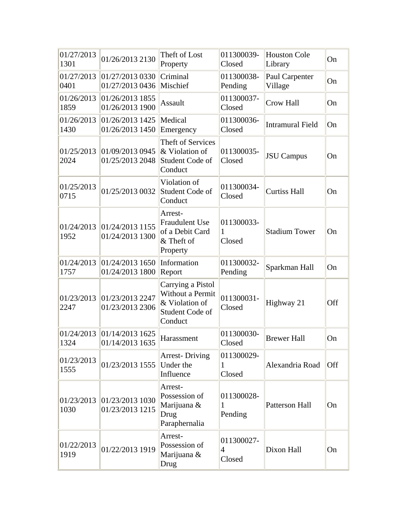| 01/27/2013<br>1301 | 01/26/2013 2130                               | Theft of Lost<br>Property                                                             | 011300039-<br>Closed                   | <b>Houston Cole</b><br>Library | On  |
|--------------------|-----------------------------------------------|---------------------------------------------------------------------------------------|----------------------------------------|--------------------------------|-----|
| 0401               | 01/27/2013 01/27/2013 0330<br>01/27/2013 0436 | Criminal<br>Mischief                                                                  | 011300038-<br>Pending                  | Paul Carpenter<br>Village      | On  |
| 01/26/2013<br>1859 | 01/26/2013 1855<br>01/26/2013 1900            | <b>Assault</b>                                                                        | 011300037-<br>Closed                   | <b>Crow Hall</b>               | On  |
| 01/26/2013<br>1430 | 01/26/20131425<br>01/26/2013 1450             | Medical<br>Emergency                                                                  | 011300036-<br>Closed                   | <b>Intramural Field</b>        | On  |
| 01/25/2013<br>2024 | 01/09/2013 0945<br>01/25/2013 2048            | <b>Theft of Services</b><br>& Violation of<br>Student Code of<br>Conduct              | 011300035-<br>Closed                   | <b>JSU</b> Campus              | On  |
| 01/25/2013<br>0715 | 01/25/2013 0032                               | Violation of<br>Student Code of<br>Conduct                                            | 011300034-<br>Closed                   | <b>Curtiss Hall</b>            | On  |
| 01/24/2013<br>1952 | 01/24/2013 1155<br>01/24/2013 1300            | Arrest-<br><b>Fraudulent Use</b><br>of a Debit Card<br>& Theft of<br>Property         | 011300033-<br>1<br>Closed              | <b>Stadium Tower</b>           | On  |
| 01/24/2013<br>1757 | 01/24/2013 1650<br>01/24/2013 1800            | Information<br>Report                                                                 | 011300032-<br>Pending                  | Sparkman Hall                  | On  |
| 01/23/2013<br>2247 | 01/23/2013 2247<br>01/23/2013 2306            | Carrying a Pistol<br>Without a Permit<br>& Violation of<br>Student Code of<br>Conduct | 011300031-<br>Closed                   | Highway 21                     | Off |
| 01/24/2013<br>1324 | 01/14/2013 1625<br>01/14/2013 1635            | Harassment                                                                            | 011300030-<br>Closed                   | <b>Brewer Hall</b>             | On  |
| 01/23/2013<br>1555 | 01/23/2013 1555                               | <b>Arrest-Driving</b><br>Under the<br>Influence                                       | 011300029-<br>1<br>Closed              | Alexandria Road                | Off |
| 1030               | 01/23/2013 01/23/2013 1030<br>01/23/2013 1215 | Arrest-<br>Possession of<br>Marijuana &<br>Drug<br>Paraphernalia                      | 011300028-<br>1<br>Pending             | Patterson Hall                 | On  |
| 01/22/2013<br>1919 | 01/22/2013 1919                               | Arrest-<br>Possession of<br>Marijuana &<br>Drug                                       | 011300027-<br>$\overline{4}$<br>Closed | Dixon Hall                     | On  |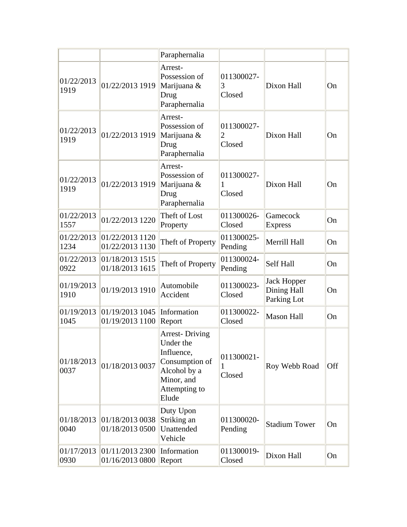|                    |                                               | Paraphernalia                                                                                                              |                                        |                                                  |     |
|--------------------|-----------------------------------------------|----------------------------------------------------------------------------------------------------------------------------|----------------------------------------|--------------------------------------------------|-----|
| 01/22/2013<br>1919 | 01/22/2013 1919                               | Arrest-<br>Possession of<br>Marijuana &<br>Drug<br>Paraphernalia                                                           | 011300027-<br>3<br>Closed              | Dixon Hall                                       | On  |
| 01/22/2013<br>1919 | 01/22/2013 1919                               | Arrest-<br>Possession of<br>Marijuana &<br>Drug<br>Paraphernalia                                                           | 011300027-<br>$\overline{2}$<br>Closed | Dixon Hall                                       | On  |
| 01/22/2013<br>1919 | 01/22/2013 1919                               | Arrest-<br>Possession of<br>Marijuana &<br>Drug<br>Paraphernalia                                                           | 011300027-<br>1<br>Closed              | Dixon Hall                                       | On  |
| 01/22/2013<br>1557 | 01/22/2013 1220                               | Theft of Lost<br>Property                                                                                                  | 011300026-<br>Closed                   | Gamecock<br><b>Express</b>                       | On  |
| 1234               | 01/22/2013 01/22/2013 1120<br>01/22/2013 1130 | Theft of Property                                                                                                          | 011300025-<br>Pending                  | Merrill Hall                                     | On  |
| 01/22/2013<br>0922 | 01/18/20131515<br>01/18/2013 1615             | Theft of Property                                                                                                          | 011300024-<br>Pending                  | Self Hall                                        | On  |
| 01/19/2013<br>1910 | 01/19/2013 1910                               | Automobile<br>Accident                                                                                                     | 011300023-<br>Closed                   | <b>Jack Hopper</b><br>Dining Hall<br>Parking Lot | On  |
| 1045               | 01/19/2013 01/19/2013 1045<br>01/19/2013 1100 | Information<br>Report                                                                                                      | 011300022-<br>Closed                   | <b>Mason Hall</b>                                | On  |
| 01/18/2013<br>0037 | 01/18/2013 0037                               | <b>Arrest-Driving</b><br>Under the<br>Influence,<br>Consumption of<br>Alcohol by a<br>Minor, and<br>Attempting to<br>Elude | 011300021-<br>1<br>Closed              | Roy Webb Road                                    | Off |
| 01/18/2013<br>0040 | 01/18/20130038<br>01/18/2013 0500             | Duty Upon<br>Striking an<br>Unattended<br>Vehicle                                                                          | 011300020-<br>Pending                  | <b>Stadium Tower</b>                             | On  |
| 01/17/2013<br>0930 | 01/11/20132300 <br>01/16/2013 0800            | Information<br>Report                                                                                                      | 011300019-<br>Closed                   | Dixon Hall                                       | On  |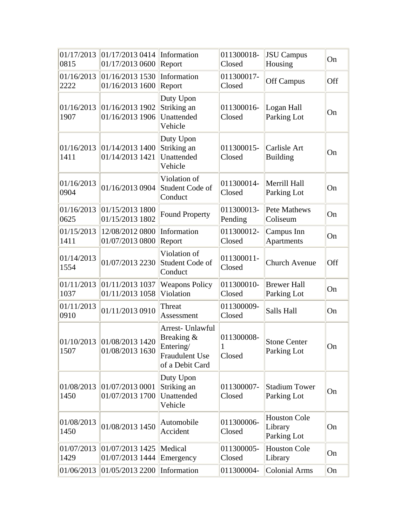| 01/17/2013<br>0815 | 01/17/2013 0414<br>01/17/2013 0600            | Information<br>Report                                                                   | 011300018-<br>Closed                 | <b>JSU</b> Campus<br>Housing                  | On  |
|--------------------|-----------------------------------------------|-----------------------------------------------------------------------------------------|--------------------------------------|-----------------------------------------------|-----|
| 01/16/2013<br>2222 | 01/16/2013 1530<br>01/16/2013 1600            | Information<br>Report                                                                   | 011300017-<br>Closed                 | <b>Off Campus</b>                             | Off |
| 01/16/2013<br>1907 | 01/16/20131902<br>01/16/2013 1906             | Duty Upon<br>Striking an<br>Unattended<br>Vehicle                                       | 011300016-<br>Closed                 | Logan Hall<br>Parking Lot                     | On  |
| 01/16/2013<br>1411 | 01/14/2013 1400<br>01/14/2013 1421            | Duty Upon<br>Striking an<br>Unattended<br>Vehicle                                       | 011300015-<br>Closed                 | Carlisle Art<br><b>Building</b>               | On  |
| 01/16/2013<br>0904 | 01/16/2013 0904                               | Violation of<br>Student Code of<br>Conduct                                              | 011300014-<br>Closed                 | Merrill Hall<br>Parking Lot                   | On  |
| 01/16/2013<br>0625 | 01/15/2013 1800<br>01/15/2013 1802            | <b>Found Property</b>                                                                   | 011300013-<br>Pending                | <b>Pete Mathews</b><br>Coliseum               | On  |
| 01/15/2013<br>1411 | 12/08/2012 0800<br>01/07/2013 0800            | Information<br>Report                                                                   | 011300012-<br>Closed                 | Campus Inn<br><b>Apartments</b>               | On  |
| 01/14/2013<br>1554 | 01/07/2013 2230                               | Violation of<br>Student Code of<br>Conduct                                              | 011300011-<br>Closed                 | <b>Church Avenue</b>                          | Off |
| 01/11/2013<br>1037 | 01/11/2013 1037<br>01/11/2013 1058            | <b>Weapons Policy</b><br>Violation                                                      | 011300010-<br>Closed                 | <b>Brewer Hall</b><br>Parking Lot             | On  |
| 01/11/2013<br>0910 | 01/11/2013 0910                               | Threat<br>Assessment                                                                    | 011300009-<br>Closed                 | Salls Hall                                    | On  |
| 1507               | 01/10/2013 01/08/2013 1420<br>01/08/2013 1630 | Arrest- Unlawful<br>Breaking &<br>Entering/<br><b>Fraudulent Use</b><br>of a Debit Card | 011300008-<br>$\mathbf{1}$<br>Closed | <b>Stone Center</b><br>Parking Lot            | On  |
| 01/08/2013<br>1450 | 01/07/2013 0001<br>01/07/2013 1700            | Duty Upon<br>Striking an<br>Unattended<br>Vehicle                                       | 011300007-<br>Closed                 | <b>Stadium Tower</b><br>Parking Lot           | On  |
| 01/08/2013<br>1450 | 01/08/2013 1450                               | Automobile<br>Accident                                                                  | 011300006-<br>Closed                 | <b>Houston Cole</b><br>Library<br>Parking Lot | On  |
| 01/07/2013<br>1429 | 01/07/2013 1425<br>01/07/2013 1444            | Medical<br>Emergency                                                                    | 011300005-<br>Closed                 | <b>Houston Cole</b><br>Library                | On  |
| 01/06/2013         | 01/05/20132200                                | Information                                                                             | 011300004-                           | <b>Colonial Arms</b>                          | On  |